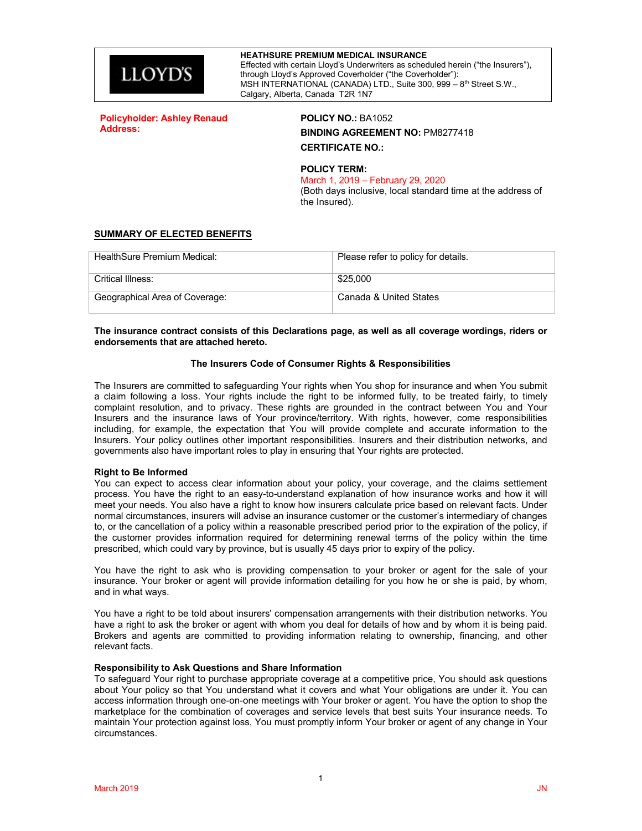

**Policyholder: Ashley Renaud Address:**

## **POLICY NO.:** BA1052 **BINDING AGREEMENT NO:** PM8277418 **CERTIFICATE NO.:**

## **POLICY TERM:**

March 1, 2019 – February 29, 2020

(Both days inclusive, local standard time at the address of the Insured).

### **SUMMARY OF ELECTED BENEFITS**

| HealthSure Premium Medical:    | Please refer to policy for details. |
|--------------------------------|-------------------------------------|
| Critical Illness:              | \$25.000                            |
| Geographical Area of Coverage: | Canada & United States              |

#### **The insurance contract consists of this Declarations page, as well as all coverage wordings, riders or endorsements that are attached hereto.**

### **The Insurers Code of Consumer Rights & Responsibilities**

The Insurers are committed to safeguarding Your rights when You shop for insurance and when You submit a claim following a loss. Your rights include the right to be informed fully, to be treated fairly, to timely complaint resolution, and to privacy. These rights are grounded in the contract between You and Your Insurers and the insurance laws of Your province/territory. With rights, however, come responsibilities including, for example, the expectation that You will provide complete and accurate information to the Insurers. Your policy outlines other important responsibilities. Insurers and their distribution networks, and governments also have important roles to play in ensuring that Your rights are protected.

#### **Right to Be Informed**

You can expect to access clear information about your policy, your coverage, and the claims settlement process. You have the right to an easy-to-understand explanation of how insurance works and how it will meet your needs. You also have a right to know how insurers calculate price based on relevant facts. Under normal circumstances, insurers will advise an insurance customer or the customer's intermediary of changes to, or the cancellation of a policy within a reasonable prescribed period prior to the expiration of the policy, if the customer provides information required for determining renewal terms of the policy within the time prescribed, which could vary by province, but is usually 45 days prior to expiry of the policy.

You have the right to ask who is providing compensation to your broker or agent for the sale of your insurance. Your broker or agent will provide information detailing for you how he or she is paid, by whom, and in what ways.

You have a right to be told about insurers' compensation arrangements with their distribution networks. You have a right to ask the broker or agent with whom you deal for details of how and by whom it is being paid. Brokers and agents are committed to providing information relating to ownership, financing, and other relevant facts.

#### **Responsibility to Ask Questions and Share Information**

To safeguard Your right to purchase appropriate coverage at a competitive price, You should ask questions about Your policy so that You understand what it covers and what Your obligations are under it. You can access information through one-on-one meetings with Your broker or agent. You have the option to shop the marketplace for the combination of coverages and service levels that best suits Your insurance needs. To maintain Your protection against loss, You must promptly inform Your broker or agent of any change in Your circumstances.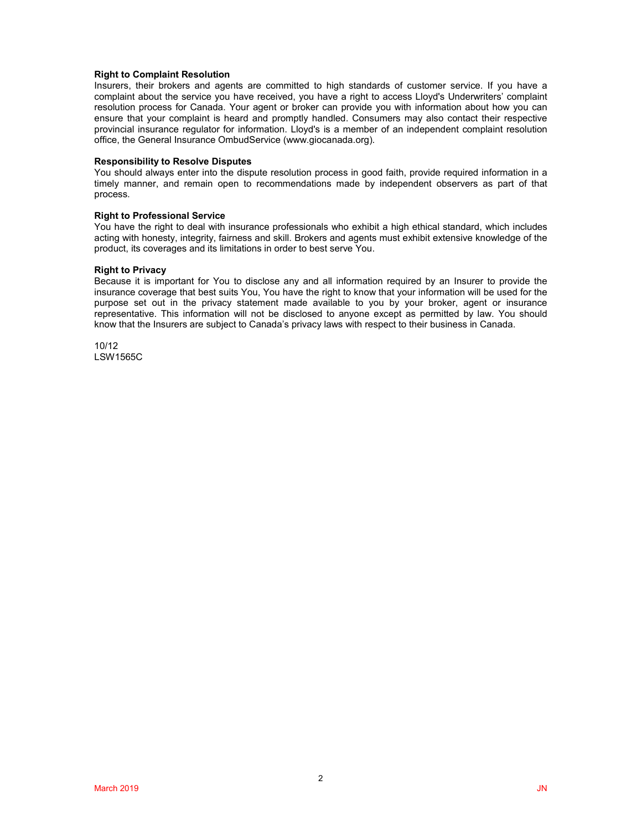#### **Right to Complaint Resolution**

Insurers, their brokers and agents are committed to high standards of customer service. If you have a complaint about the service you have received, you have a right to access Lloyd's Underwriters' complaint resolution process for Canada. Your agent or broker can provide you with information about how you can ensure that your complaint is heard and promptly handled. Consumers may also contact their respective provincial insurance regulator for information. Lloyd's is a member of an independent complaint resolution office, the General Insurance OmbudService (www.giocanada.org).

#### **Responsibility to Resolve Disputes**

You should always enter into the dispute resolution process in good faith, provide required information in a timely manner, and remain open to recommendations made by independent observers as part of that process.

#### **Right to Professional Service**

You have the right to deal with insurance professionals who exhibit a high ethical standard, which includes acting with honesty, integrity, fairness and skill. Brokers and agents must exhibit extensive knowledge of the product, its coverages and its limitations in order to best serve You.

#### **Right to Privacy**

Because it is important for You to disclose any and all information required by an Insurer to provide the insurance coverage that best suits You, You have the right to know that your information will be used for the purpose set out in the privacy statement made available to you by your broker, agent or insurance representative. This information will not be disclosed to anyone except as permitted by law. You should know that the Insurers are subject to Canada's privacy laws with respect to their business in Canada.

10/12 LSW1565C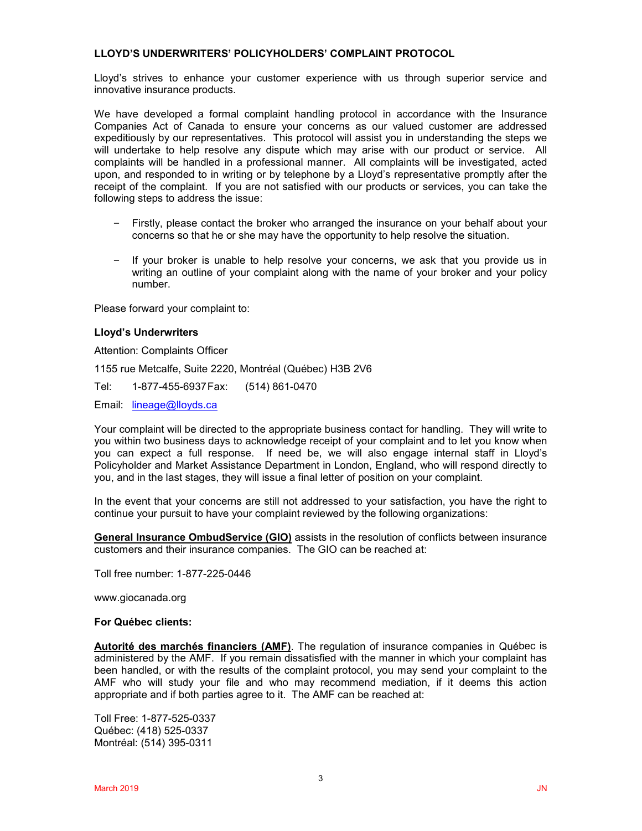## **LLOYD'S UNDERWRITERS' POLICYHOLDERS' COMPLAINT PROTOCOL**

Lloyd's strives to enhance your customer experience with us through superior service and innovative insurance products.

We have developed a formal complaint handling protocol in accordance with the Insurance Companies Act of Canada to ensure your concerns as our valued customer are addressed expeditiously by our representatives. This protocol will assist you in understanding the steps we will undertake to help resolve any dispute which may arise with our product or service. All complaints will be handled in a professional manner. All complaints will be investigated, acted upon, and responded to in writing or by telephone by a Lloyd's representative promptly after the receipt of the complaint. If you are not satisfied with our products or services, you can take the following steps to address the issue:

- Firstly, please contact the broker who arranged the insurance on your behalf about your concerns so that he or she may have the opportunity to help resolve the situation.
- If your broker is unable to help resolve your concerns, we ask that you provide us in writing an outline of your complaint along with the name of your broker and your policy number.

Please forward your complaint to:

### **Lloyd's Underwriters**

Attention: Complaints Officer

1155 rue Metcalfe, Suite 2220, Montréal (Québec) H3B 2V6

Tel: 1-877-455-6937Fax: (514) 861-0470

Email: [lineage@lloyds.ca](mailto:lineage@lloyds.ca)

Your complaint will be directed to the appropriate business contact for handling. They will write to you within two business days to acknowledge receipt of your complaint and to let you know when you can expect a full response. If need be, we will also engage internal staff in Lloyd's Policyholder and Market Assistance Department in London, England, who will respond directly to you, and in the last stages, they will issue a final letter of position on your complaint.

In the event that your concerns are still not addressed to your satisfaction, you have the right to continue your pursuit to have your complaint reviewed by the following organizations:

**General Insurance OmbudService (GIO)** assists in the resolution of conflicts between insurance customers and their insurance companies. The GIO can be reached at:

Toll free number: 1-877-225-0446

www.giocanada.org

### **For Québec clients:**

**Autorité des marchés financiers (AMF)**. The regulation of insurance companies in Québec is administered by the AMF. If you remain dissatisfied with the manner in which your complaint has been handled, or with the results of the complaint protocol, you may send your complaint to the AMF who will study your file and who may recommend mediation, if it deems this action appropriate and if both parties agree to it. The AMF can be reached at:

Toll Free: 1-877-525-0337 Québec: (418) 525-0337 Montréal: (514) 395-0311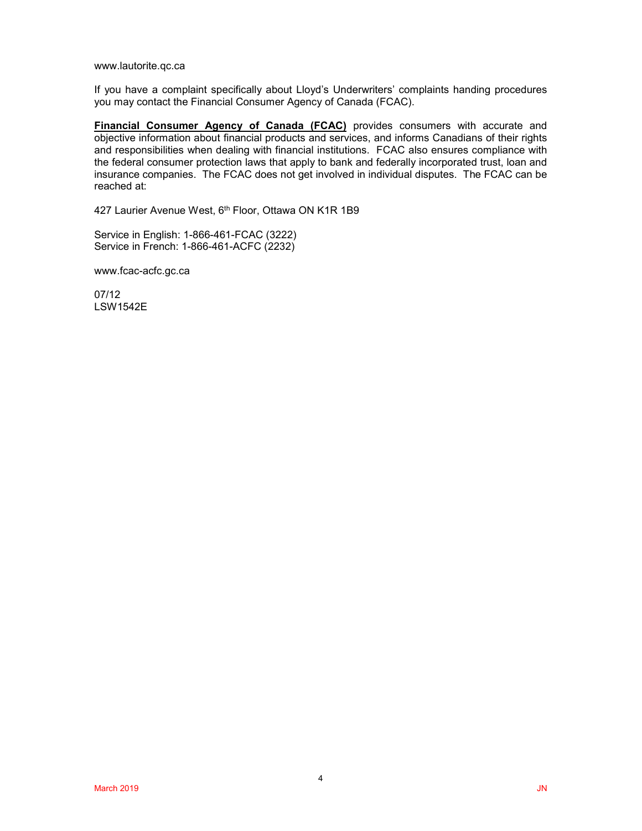www.lautorite.qc.ca

If you have a complaint specifically about Lloyd's Underwriters' complaints handing procedures you may contact the Financial Consumer Agency of Canada (FCAC).

**Financial Consumer Agency of Canada (FCAC)** provides consumers with accurate and objective information about financial products and services, and informs Canadians of their rights and responsibilities when dealing with financial institutions. FCAC also ensures compliance with the federal consumer protection laws that apply to bank and federally incorporated trust, loan and insurance companies. The FCAC does not get involved in individual disputes. The FCAC can be reached at:

427 Laurier Avenue West, 6<sup>th</sup> Floor, Ottawa ON K1R 1B9

Service in English: 1-866-461-FCAC (3222) Service in French: 1-866-461-ACFC (2232)

www.fcac-acfc.gc.ca

07/12 LSW1542E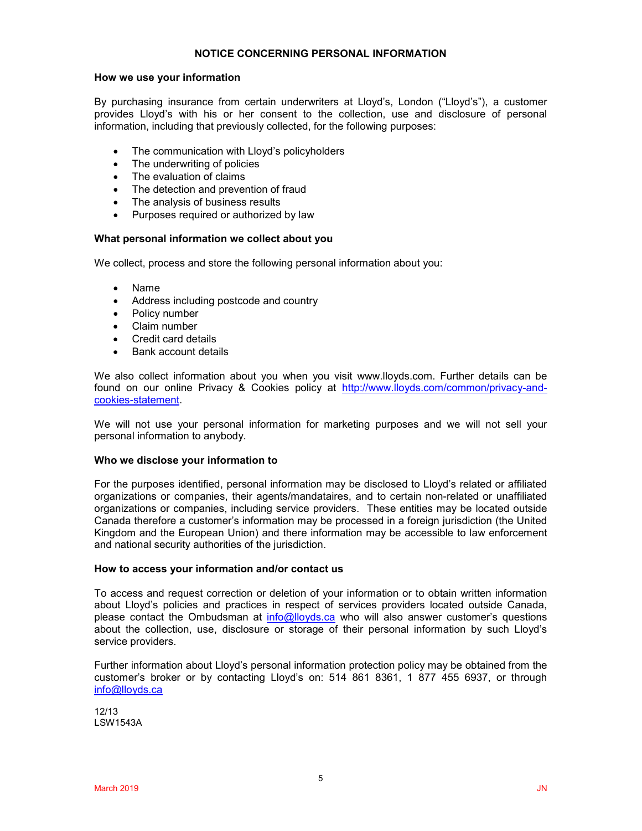### **NOTICE CONCERNING PERSONAL INFORMATION**

### **How we use your information**

By purchasing insurance from certain underwriters at Lloyd's, London ("Lloyd's"), a customer provides Lloyd's with his or her consent to the collection, use and disclosure of personal information, including that previously collected, for the following purposes:

- The communication with Lloyd's policyholders
- The underwriting of policies
- The evaluation of claims
- The detection and prevention of fraud
- The analysis of business results
- Purposes required or authorized by law

### **What personal information we collect about you**

We collect, process and store the following personal information about you:

- Name
- Address including postcode and country
- Policy number
- Claim number
- Credit card details
- Bank account details

We also collect information about you when you visit www.lloyds.com. Further details can be found on our online Privacy & Cookies policy at [http://www.lloyds.com/common/privacy-and](http://www.lloyds.com/common/privacy-and-cookies-statement)[cookies-statement.](http://www.lloyds.com/common/privacy-and-cookies-statement)

We will not use your personal information for marketing purposes and we will not sell your personal information to anybody.

### **Who we disclose your information to**

For the purposes identified, personal information may be disclosed to Lloyd's related or affiliated organizations or companies, their agents/mandataires, and to certain non-related or unaffiliated organizations or companies, including service providers. These entities may be located outside Canada therefore a customer's information may be processed in a foreign jurisdiction (the United Kingdom and the European Union) and there information may be accessible to law enforcement and national security authorities of the jurisdiction.

### **How to access your information and/or contact us**

To access and request correction or deletion of your information or to obtain written information about Lloyd's policies and practices in respect of services providers located outside Canada, please contact the Ombudsman at [info@lloyds.ca](mailto:info@lloyds.ca) who will also answer customer's questions about the collection, use, disclosure or storage of their personal information by such Lloyd's service providers.

Further information about Lloyd's personal information protection policy may be obtained from the customer's broker or by contacting Lloyd's on: 514 861 8361, 1 877 455 6937, or through [info@lloyds.ca](mailto:info@lloyds.ca)

12/13 LSW1543A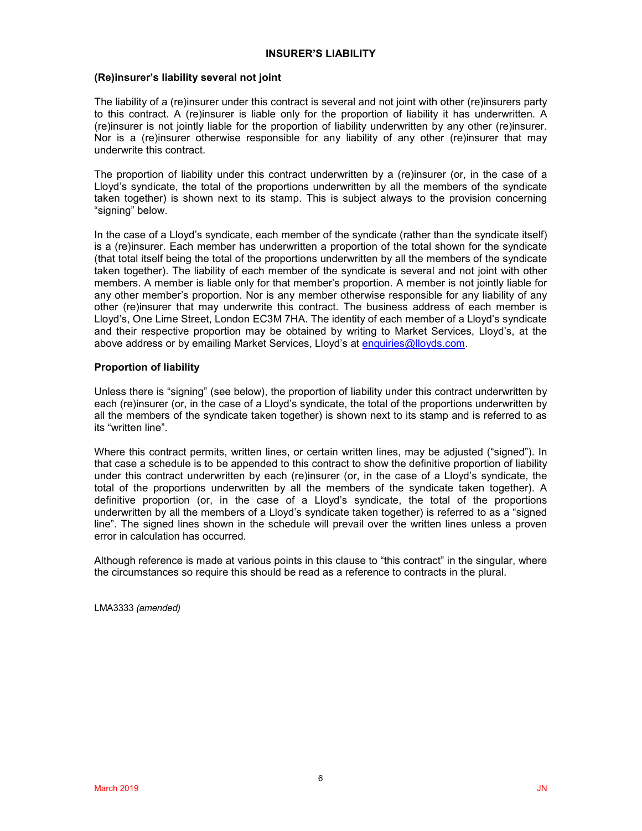### **INSURER'S LIABILITY**

## **(Re)insurer's liability several not joint**

The liability of a (re)insurer under this contract is several and not joint with other (re)insurers party to this contract. A (re)insurer is liable only for the proportion of liability it has underwritten. A (re)insurer is not jointly liable for the proportion of liability underwritten by any other (re)insurer. Nor is a (re)insurer otherwise responsible for any liability of any other (re)insurer that may underwrite this contract.

The proportion of liability under this contract underwritten by a (re)insurer (or, in the case of a Lloyd's syndicate, the total of the proportions underwritten by all the members of the syndicate taken together) is shown next to its stamp. This is subject always to the provision concerning "signing" below.

In the case of a Lloyd's syndicate, each member of the syndicate (rather than the syndicate itself) is a (re)insurer. Each member has underwritten a proportion of the total shown for the syndicate (that total itself being the total of the proportions underwritten by all the members of the syndicate taken together). The liability of each member of the syndicate is several and not joint with other members. A member is liable only for that member's proportion. A member is not jointly liable for any other member's proportion. Nor is any member otherwise responsible for any liability of any other (re)insurer that may underwrite this contract. The business address of each member is Lloyd's, One Lime Street, London EC3M 7HA. The identity of each member of a Lloyd's syndicate and their respective proportion may be obtained by writing to Market Services, Lloyd's, at the above address or by emailing Market Services, Lloyd's at [enquiries@lloyds.com.](mailto:enquiries@lloyds.com)

## **Proportion of liability**

Unless there is "signing" (see below), the proportion of liability under this contract underwritten by each (re)insurer (or, in the case of a Lloyd's syndicate, the total of the proportions underwritten by all the members of the syndicate taken together) is shown next to its stamp and is referred to as its "written line".

Where this contract permits, written lines, or certain written lines, may be adjusted ("signed"). In that case a schedule is to be appended to this contract to show the definitive proportion of liability under this contract underwritten by each (re)insurer (or, in the case of a Lloyd's syndicate, the total of the proportions underwritten by all the members of the syndicate taken together). A definitive proportion (or, in the case of a Lloyd's syndicate, the total of the proportions underwritten by all the members of a Lloyd's syndicate taken together) is referred to as a "signed line". The signed lines shown in the schedule will prevail over the written lines unless a proven error in calculation has occurred.

Although reference is made at various points in this clause to "this contract" in the singular, where the circumstances so require this should be read as a reference to contracts in the plural.

LMA3333 *(amended)*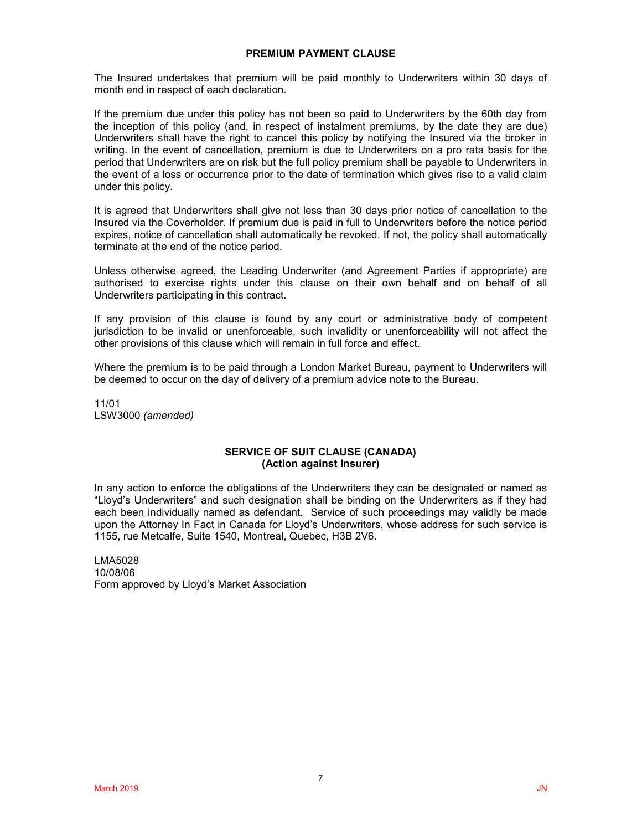### **PREMIUM PAYMENT CLAUSE**

The Insured undertakes that premium will be paid monthly to Underwriters within 30 days of month end in respect of each declaration.

If the premium due under this policy has not been so paid to Underwriters by the 60th day from the inception of this policy (and, in respect of instalment premiums, by the date they are due) Underwriters shall have the right to cancel this policy by notifying the Insured via the broker in writing. In the event of cancellation, premium is due to Underwriters on a pro rata basis for the period that Underwriters are on risk but the full policy premium shall be payable to Underwriters in the event of a loss or occurrence prior to the date of termination which gives rise to a valid claim under this policy.

It is agreed that Underwriters shall give not less than 30 days prior notice of cancellation to the Insured via the Coverholder. If premium due is paid in full to Underwriters before the notice period expires, notice of cancellation shall automatically be revoked. If not, the policy shall automatically terminate at the end of the notice period.

Unless otherwise agreed, the Leading Underwriter (and Agreement Parties if appropriate) are authorised to exercise rights under this clause on their own behalf and on behalf of all Underwriters participating in this contract.

If any provision of this clause is found by any court or administrative body of competent jurisdiction to be invalid or unenforceable, such invalidity or unenforceability will not affect the other provisions of this clause which will remain in full force and effect.

Where the premium is to be paid through a London Market Bureau, payment to Underwriters will be deemed to occur on the day of delivery of a premium advice note to the Bureau.

11/01 LSW3000 *(amended)*

### **SERVICE OF SUIT CLAUSE (CANADA) (Action against Insurer)**

In any action to enforce the obligations of the Underwriters they can be designated or named as "Lloyd's Underwriters" and such designation shall be binding on the Underwriters as if they had each been individually named as defendant. Service of such proceedings may validly be made upon the Attorney In Fact in Canada for Lloyd's Underwriters, whose address for such service is 1155, rue Metcalfe, Suite 1540, Montreal, Quebec, H3B 2V6.

LMA5028 10/08/06 Form approved by Lloyd's Market Association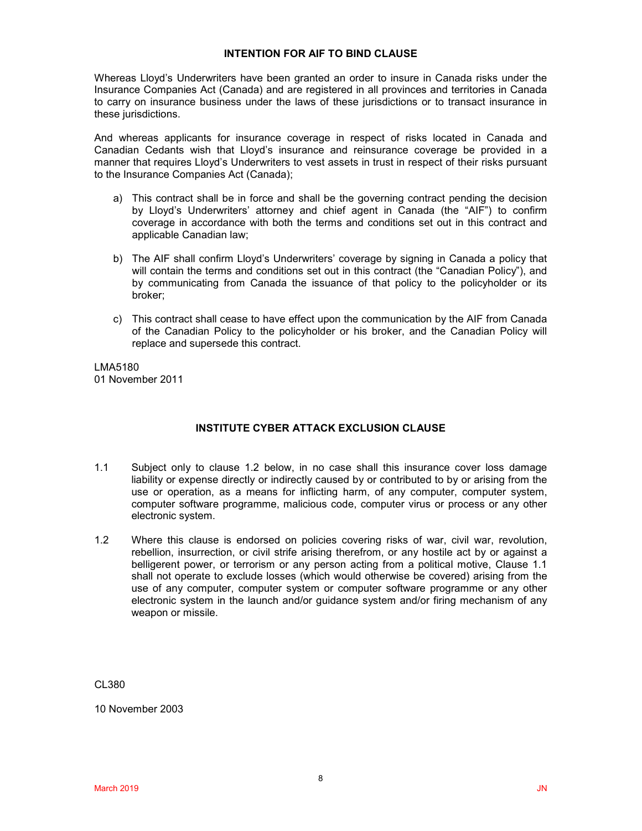### **INTENTION FOR AIF TO BIND CLAUSE**

Whereas Lloyd's Underwriters have been granted an order to insure in Canada risks under the Insurance Companies Act (Canada) and are registered in all provinces and territories in Canada to carry on insurance business under the laws of these jurisdictions or to transact insurance in these jurisdictions.

And whereas applicants for insurance coverage in respect of risks located in Canada and Canadian Cedants wish that Lloyd's insurance and reinsurance coverage be provided in a manner that requires Lloyd's Underwriters to vest assets in trust in respect of their risks pursuant to the Insurance Companies Act (Canada);

- a) This contract shall be in force and shall be the governing contract pending the decision by Lloyd's Underwriters' attorney and chief agent in Canada (the "AIF") to confirm coverage in accordance with both the terms and conditions set out in this contract and applicable Canadian law;
- b) The AIF shall confirm Lloyd's Underwriters' coverage by signing in Canada a policy that will contain the terms and conditions set out in this contract (the "Canadian Policy"), and by communicating from Canada the issuance of that policy to the policyholder or its broker;
- c) This contract shall cease to have effect upon the communication by the AIF from Canada of the Canadian Policy to the policyholder or his broker, and the Canadian Policy will replace and supersede this contract.

LMA5180 01 November 2011

## **INSTITUTE CYBER ATTACK EXCLUSION CLAUSE**

- 1.1 Subject only to clause 1.2 below, in no case shall this insurance cover loss damage liability or expense directly or indirectly caused by or contributed to by or arising from the use or operation, as a means for inflicting harm, of any computer, computer system, computer software programme, malicious code, computer virus or process or any other electronic system.
- 1.2 Where this clause is endorsed on policies covering risks of war, civil war, revolution, rebellion, insurrection, or civil strife arising therefrom, or any hostile act by or against a belligerent power, or terrorism or any person acting from a political motive, Clause 1.1 shall not operate to exclude losses (which would otherwise be covered) arising from the use of any computer, computer system or computer software programme or any other electronic system in the launch and/or guidance system and/or firing mechanism of any weapon or missile.

CL380

10 November 2003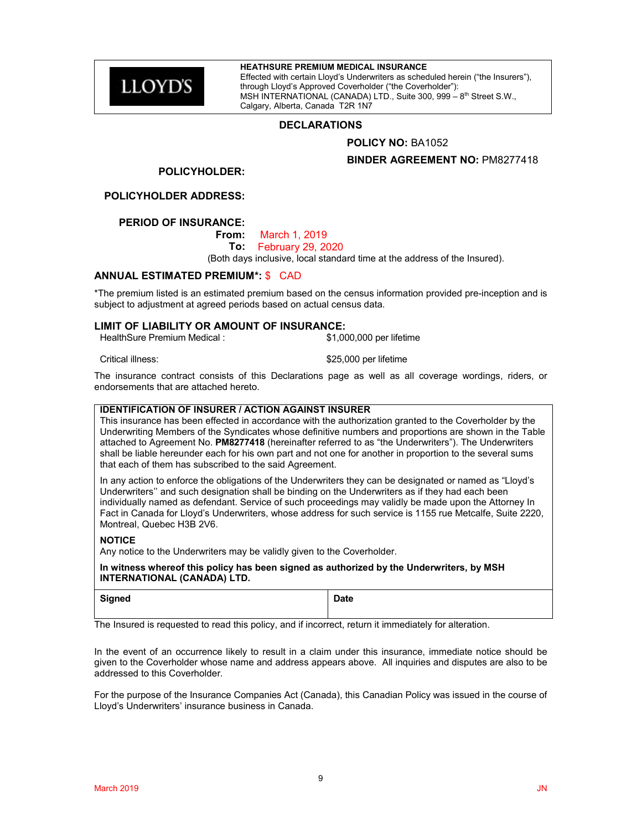**LLOYD'S** 

### **HEATHSURE PREMIUM MEDICAL INSURANCE**

Effected with certain Lloyd's Underwriters as scheduled herein ("the Insurers"), through Lloyd's Approved Coverholder ("the Coverholder"): MSH INTERNATIONAL (CANADA) LTD., Suite 300, 999 – 8th Street S.W., Calgary, Alberta, Canada T2R 1N7

### **DECLARATIONS**

### **POLICY NO:** BA1052

### **BINDER AGREEMENT NO:** PM8277418

#### **POLICYHOLDER:**

**POLICYHOLDER ADDRESS:**

### **PERIOD OF INSURANCE:**

**From:** March 1, 2019

**To:** February 29, 2020

(Both days inclusive, local standard time at the address of the Insured).

### **ANNUAL ESTIMATED PREMIUM\*:** \$ CAD

\*The premium listed is an estimated premium based on the census information provided pre-inception and is subject to adjustment at agreed periods based on actual census data.

### **LIMIT OF LIABILITY OR AMOUNT OF INSURANCE:**

HealthSure Premium Medical : \$1,000,000 per lifetime

Critical illness:  $$25,000$  per lifetime

The insurance contract consists of this Declarations page as well as all coverage wordings, riders, or endorsements that are attached hereto.

### **IDENTIFICATION OF INSURER / ACTION AGAINST INSURER**

This insurance has been effected in accordance with the authorization granted to the Coverholder by the Underwriting Members of the Syndicates whose definitive numbers and proportions are shown in the Table attached to Agreement No. **PM8277418** (hereinafter referred to as "the Underwriters"). The Underwriters shall be liable hereunder each for his own part and not one for another in proportion to the several sums that each of them has subscribed to the said Agreement.

In any action to enforce the obligations of the Underwriters they can be designated or named as "Lloyd's Underwriters'' and such designation shall be binding on the Underwriters as if they had each been individually named as defendant. Service of such proceedings may validly be made upon the Attorney In Fact in Canada for Lloyd's Underwriters, whose address for such service is 1155 rue Metcalfe, Suite 2220, Montreal, Quebec H3B 2V6.

#### **NOTICE**

Any notice to the Underwriters may be validly given to the Coverholder.

**In witness whereof this policy has been signed as authorized by the Underwriters, by MSH INTERNATIONAL (CANADA) LTD.**

| <b>Signed</b> | <b>Date</b> |
|---------------|-------------|
|               |             |

The Insured is requested to read this policy, and if incorrect, return it immediately for alteration.

In the event of an occurrence likely to result in a claim under this insurance, immediate notice should be given to the Coverholder whose name and address appears above. All inquiries and disputes are also to be addressed to this Coverholder.

For the purpose of the Insurance Companies Act (Canada), this Canadian Policy was issued in the course of Lloyd's Underwriters' insurance business in Canada.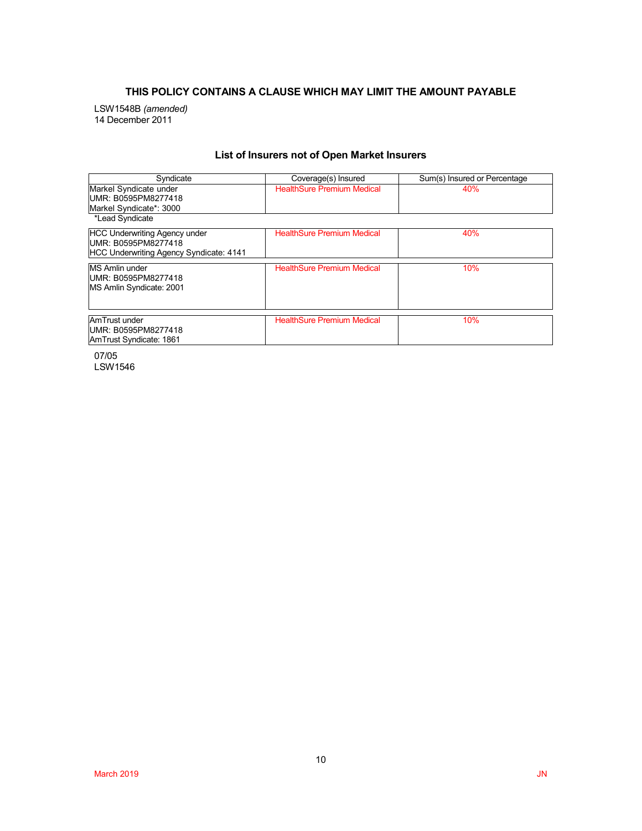## **THIS POLICY CONTAINS A CLAUSE WHICH MAY LIMIT THE AMOUNT PAYABLE**

LSW1548B *(amended)* 14 December 2011

## **List of Insurers not of Open Market Insurers**

| Syndicate                                                                                              | Coverage(s) Insured               | Sum(s) Insured or Percentage |
|--------------------------------------------------------------------------------------------------------|-----------------------------------|------------------------------|
| Markel Syndicate under<br>UMR: B0595PM8277418<br>Markel Syndicate*: 3000                               | <b>HealthSure Premium Medical</b> | 40%                          |
| *Lead Syndicate                                                                                        |                                   |                              |
| <b>HCC Underwriting Agency under</b><br>UMR: B0595PM8277418<br>HCC Underwriting Agency Syndicate: 4141 | <b>HealthSure Premium Medical</b> | 40%                          |
| <b>MS Amlin under</b><br>UMR: B0595PM8277418<br>MS Amlin Syndicate: 2001                               | <b>HealthSure Premium Medical</b> | 10%                          |
| AmTrust under<br>UMR: B0595PM8277418<br>AmTrust Syndicate: 1861                                        | <b>HealthSure Premium Medical</b> | 10%                          |

07/05 LSW1546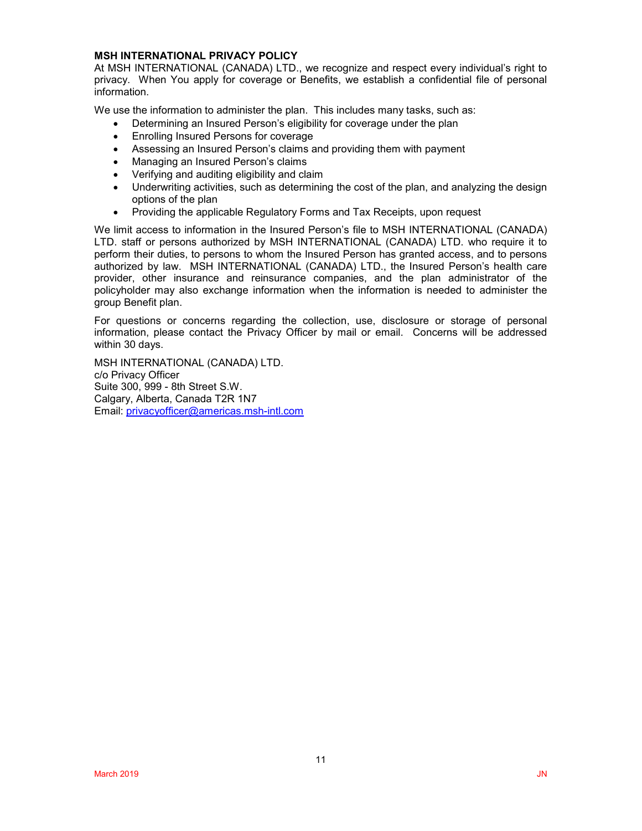### **MSH INTERNATIONAL PRIVACY POLICY**

At MSH INTERNATIONAL (CANADA) LTD., we recognize and respect every individual's right to privacy. When You apply for coverage or Benefits, we establish a confidential file of personal information.

We use the information to administer the plan. This includes many tasks, such as:

- Determining an Insured Person's eligibility for coverage under the plan
- Enrolling Insured Persons for coverage
- Assessing an Insured Person's claims and providing them with payment
- Managing an Insured Person's claims
- Verifying and auditing eligibility and claim
- Underwriting activities, such as determining the cost of the plan, and analyzing the design options of the plan
- Providing the applicable Regulatory Forms and Tax Receipts, upon request

We limit access to information in the Insured Person's file to MSH INTERNATIONAL (CANADA) LTD. staff or persons authorized by MSH INTERNATIONAL (CANADA) LTD. who require it to perform their duties, to persons to whom the Insured Person has granted access, and to persons authorized by law. MSH INTERNATIONAL (CANADA) LTD., the Insured Person's health care provider, other insurance and reinsurance companies, and the plan administrator of the policyholder may also exchange information when the information is needed to administer the group Benefit plan.

For questions or concerns regarding the collection, use, disclosure or storage of personal information, please contact the Privacy Officer by mail or email. Concerns will be addressed within 30 days.

MSH INTERNATIONAL (CANADA) LTD. c/o Privacy Officer Suite 300, 999 - 8th Street S.W. Calgary, Alberta, Canada T2R 1N7 Email: [privacyofficer@americas.msh-intl.com](mailto:privacyofficer@americas.msh-intl.com)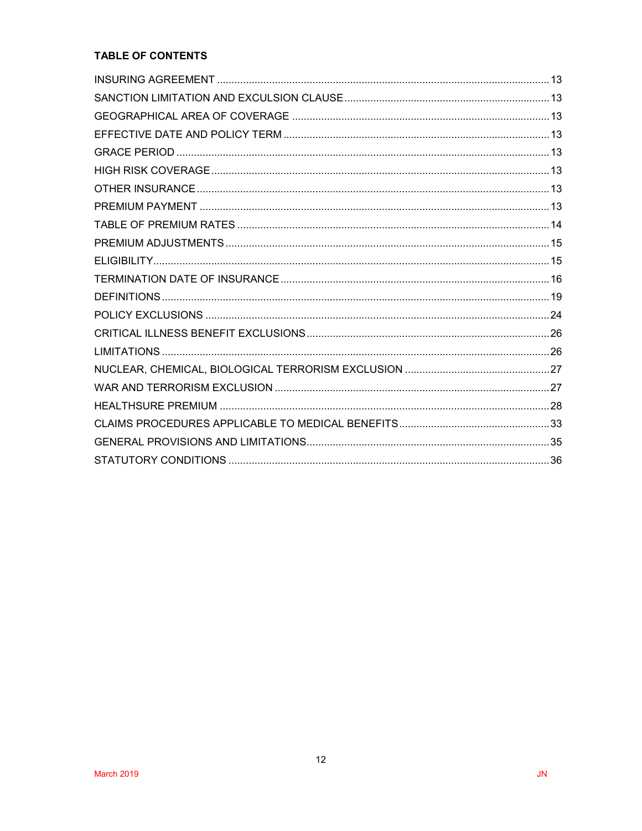# TABLE OF CONTENTS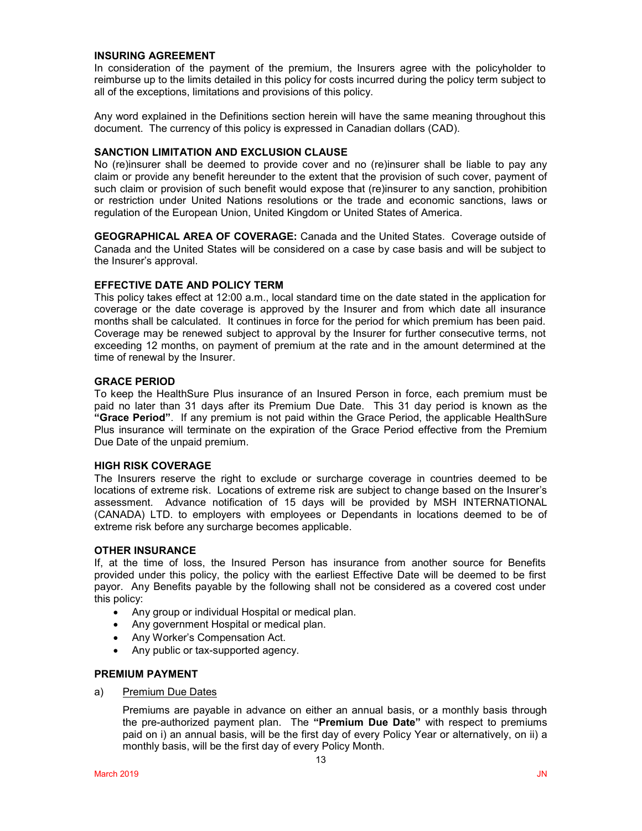### **INSURING AGREEMENT**

In consideration of the payment of the premium, the Insurers agree with the policyholder to reimburse up to the limits detailed in this policy for costs incurred during the policy term subject to all of the exceptions, limitations and provisions of this policy.

Any word explained in the Definitions section herein will have the same meaning throughout this document. The currency of this policy is expressed in Canadian dollars (CAD).

### **SANCTION LIMITATION AND EXCLUSION CLAUSE**

No (re)insurer shall be deemed to provide cover and no (re)insurer shall be liable to pay any claim or provide any benefit hereunder to the extent that the provision of such cover, payment of such claim or provision of such benefit would expose that (re)insurer to any sanction, prohibition or restriction under United Nations resolutions or the trade and economic sanctions, laws or regulation of the European Union, United Kingdom or United States of America.

**GEOGRAPHICAL AREA OF COVERAGE:** Canada and the United States. Coverage outside of Canada and the United States will be considered on a case by case basis and will be subject to the Insurer's approval.

### **EFFECTIVE DATE AND POLICY TERM**

This policy takes effect at 12:00 a.m., local standard time on the date stated in the application for coverage or the date coverage is approved by the Insurer and from which date all insurance months shall be calculated. It continues in force for the period for which premium has been paid. Coverage may be renewed subject to approval by the Insurer for further consecutive terms, not exceeding 12 months, on payment of premium at the rate and in the amount determined at the time of renewal by the Insurer.

### **GRACE PERIOD**

To keep the HealthSure Plus insurance of an Insured Person in force, each premium must be paid no later than 31 days after its Premium Due Date. This 31 day period is known as the **"Grace Period"**. If any premium is not paid within the Grace Period, the applicable HealthSure Plus insurance will terminate on the expiration of the Grace Period effective from the Premium Due Date of the unpaid premium.

### **HIGH RISK COVERAGE**

The Insurers reserve the right to exclude or surcharge coverage in countries deemed to be locations of extreme risk. Locations of extreme risk are subject to change based on the Insurer's assessment. Advance notification of 15 days will be provided by MSH INTERNATIONAL (CANADA) LTD. to employers with employees or Dependants in locations deemed to be of extreme risk before any surcharge becomes applicable.

### **OTHER INSURANCE**

If, at the time of loss, the Insured Person has insurance from another source for Benefits provided under this policy, the policy with the earliest Effective Date will be deemed to be first payor. Any Benefits payable by the following shall not be considered as a covered cost under this policy:

- Any group or individual Hospital or medical plan.
- Any government Hospital or medical plan.
- Any Worker's Compensation Act.
- Any public or tax-supported agency.

#### **PREMIUM PAYMENT**

a) Premium Due Dates

Premiums are payable in advance on either an annual basis, or a monthly basis through the pre-authorized payment plan. The **"Premium Due Date"** with respect to premiums paid on i) an annual basis, will be the first day of every Policy Year or alternatively, on ii) a monthly basis, will be the first day of every Policy Month.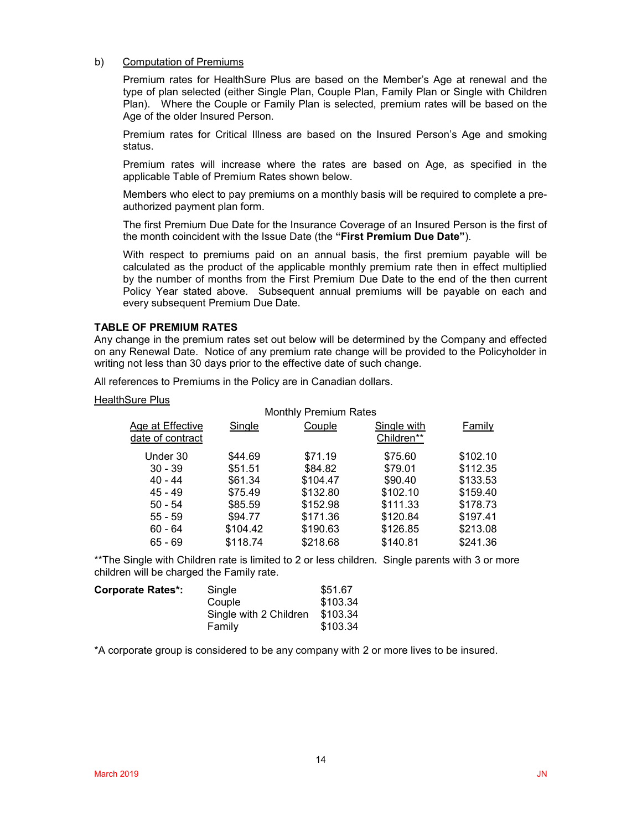### b) Computation of Premiums

Premium rates for HealthSure Plus are based on the Member's Age at renewal and the type of plan selected (either Single Plan, Couple Plan, Family Plan or Single with Children Plan). Where the Couple or Family Plan is selected, premium rates will be based on the Age of the older Insured Person.

Premium rates for Critical Illness are based on the Insured Person's Age and smoking status.

Premium rates will increase where the rates are based on Age, as specified in the applicable Table of Premium Rates shown below.

Members who elect to pay premiums on a monthly basis will be required to complete a preauthorized payment plan form.

The first Premium Due Date for the Insurance Coverage of an Insured Person is the first of the month coincident with the Issue Date (the **"First Premium Due Date"**).

With respect to premiums paid on an annual basis, the first premium payable will be calculated as the product of the applicable monthly premium rate then in effect multiplied by the number of months from the First Premium Due Date to the end of the then current Policy Year stated above. Subsequent annual premiums will be payable on each and every subsequent Premium Due Date.

### **TABLE OF PREMIUM RATES**

Any change in the premium rates set out below will be determined by the Company and effected on any Renewal Date. Notice of any premium rate change will be provided to the Policyholder in writing not less than 30 days prior to the effective date of such change.

All references to Premiums in the Policy are in Canadian dollars.

#### HealthSure Plus

#### Monthly Premium Rates Age at Effective date of contract Single Couple Single with Children\*\* Family Under 30 \$44.69 \$71.19 \$75.60 \$102.10 30 - 39 \$51.51 \$84.82 \$79.01 \$112.35 40 - 44 \$61.34 \$104.47 \$90.40 \$133.53 45 - 49 \$75.49 \$132.80 \$102.10 \$159.40 50 - 54 \$85.59 \$152.98 \$111.33 \$178.73 55 - 59 \$94.77 \$171.36 \$120.84 \$197.41 60 - 64 \$104.42 \$190.63 \$126.85 \$213.08 65 - 69 \$118.74 \$218.68 \$140.81 \$241.36

\*\*The Single with Children rate is limited to 2 or less children. Single parents with 3 or more children will be charged the Family rate.

| <b>Corporate Rates*:</b> | Single                 | \$51.67  |
|--------------------------|------------------------|----------|
|                          | Couple                 | \$103.34 |
|                          | Single with 2 Children | \$103.34 |
|                          | Family                 | \$103.34 |

\*A corporate group is considered to be any company with 2 or more lives to be insured.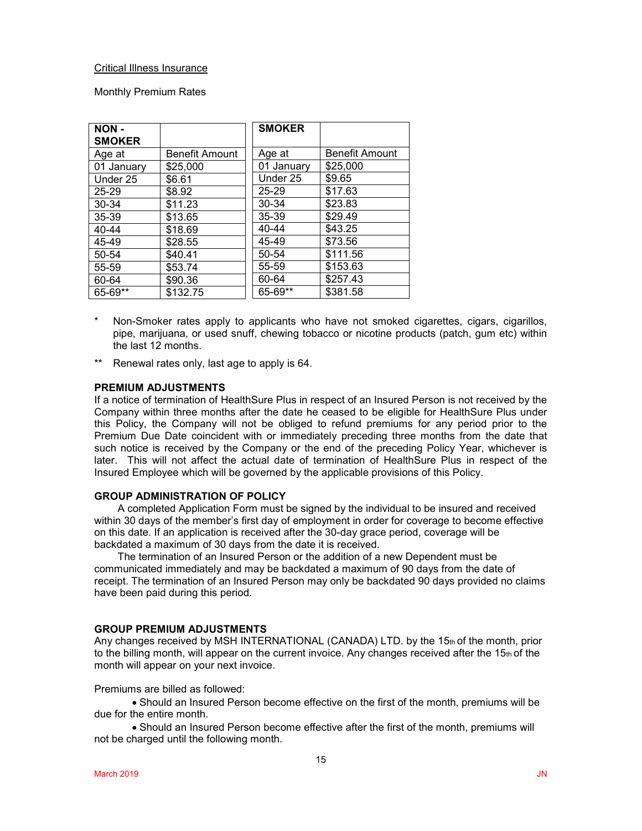### Critical Illness Insurance

Monthly Premium Rates

| NON-<br><b>SMOKER</b> |                       | <b>SMOKER</b> |                |
|-----------------------|-----------------------|---------------|----------------|
| Age at                | <b>Benefit Amount</b> | Age at        | Benefit Amount |
| 01 January            | \$25,000              | 01 January    | \$25,000       |
| Under 25              | \$6.61                | Under 25      | \$9.65         |
| $25 - 29$             | \$8.92                | 25-29         | \$17.63        |
| 30-34                 | \$11.23               | 30-34         | \$23.83        |
| 35-39                 | \$13.65               | 35-39         | \$29.49        |
| 40-44                 | \$18.69               | 40-44         | \$43.25        |
| 45-49                 | \$28.55               | 45-49         | \$73.56        |
| 50-54                 | \$40.41               | 50-54         | \$111.56       |
| 55-59                 | \$53.74               | 55-59         | \$153.63       |
| 60-64                 | \$90.36               | 60-64         | \$257.43       |
| 65-69**               | \$132.75              | 65-69**       | \$381.58       |

- Non-Smoker rates apply to applicants who have not smoked cigarettes, cigars, cigarillos, pipe, marijuana, or used snuff, chewing tobacco or nicotine products (patch, gum etc) within the last 12 months.
- \*\* Renewal rates only, last age to apply is 64.

### **PREMIUM ADJUSTMENTS**

If a notice of termination of HealthSure Plus in respect of an Insured Person is not received by the Company within three months after the date he ceased to be eligible for HealthSure Plus under this Policy, the Company will not be obliged to refund premiums for any period prior to the Premium Due Date coincident with or immediately preceding three months from the date that such notice is received by the Company or the end of the preceding Policy Year, whichever is later. This will not affect the actual date of termination of HealthSure Plus in respect of the Insured Employee which will be governed by the applicable provisions of this Policy.

#### **GROUP ADMINISTRATION OF POLICY**

A completed Application Form must be signed by the individual to be insured and received within 30 days of the member's first day of employment in order for coverage to become effective on this date. If an application is received after the 30-day grace period, coverage will be backdated a maximum of 30 days from the date it is received.

The termination of an Insured Person or the addition of a new Dependent must be communicated immediately and may be backdated a maximum of 90 days from the date of receipt. The termination of an Insured Person may only be backdated 90 days provided no claims have been paid during this period.

### **GROUP PREMIUM ADJUSTMENTS**

Any changes received by MSH INTERNATIONAL (CANADA) LTD. by the 15th of the month, prior to the billing month, will appear on the current invoice. Any changes received after the  $15<sub>th</sub>$  of the month will appear on your next invoice.

Premiums are billed as followed:

• Should an Insured Person become effective on the first of the month, premiums will be due for the entire month.

• Should an Insured Person become effective after the first of the month, premiums will not be charged until the following month.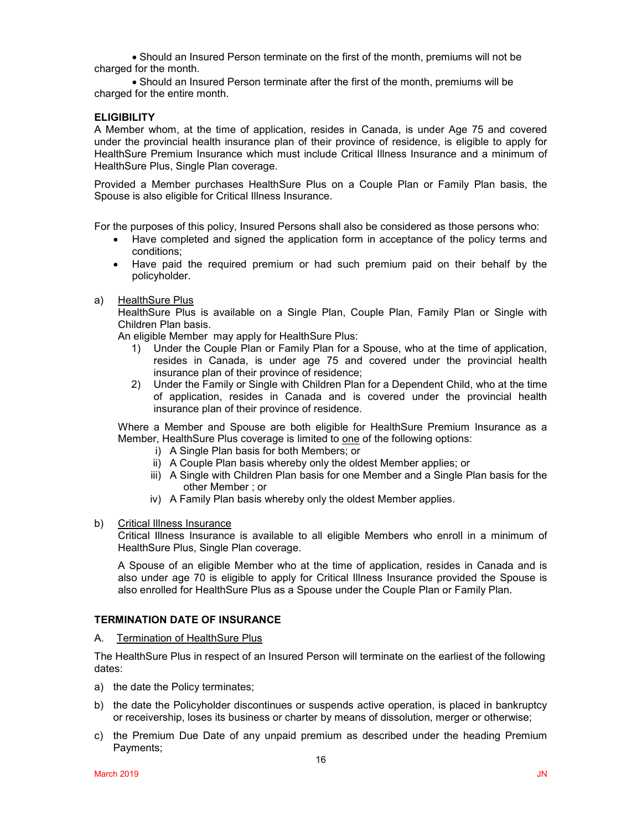• Should an Insured Person terminate on the first of the month, premiums will not be charged for the month.

• Should an Insured Person terminate after the first of the month, premiums will be charged for the entire month.

### **ELIGIBILITY**

A Member whom, at the time of application, resides in Canada, is under Age 75 and covered under the provincial health insurance plan of their province of residence, is eligible to apply for HealthSure Premium Insurance which must include Critical Illness Insurance and a minimum of HealthSure Plus, Single Plan coverage.

Provided a Member purchases HealthSure Plus on a Couple Plan or Family Plan basis, the Spouse is also eligible for Critical Illness Insurance.

For the purposes of this policy, Insured Persons shall also be considered as those persons who:

- Have completed and signed the application form in acceptance of the policy terms and conditions;
- Have paid the required premium or had such premium paid on their behalf by the policyholder.
- a) HealthSure Plus

HealthSure Plus is available on a Single Plan, Couple Plan, Family Plan or Single with Children Plan basis.

An eligible Member may apply for HealthSure Plus:

- 1) Under the Couple Plan or Family Plan for a Spouse, who at the time of application, resides in Canada, is under age 75 and covered under the provincial health insurance plan of their province of residence;
- 2) Under the Family or Single with Children Plan for a Dependent Child, who at the time of application, resides in Canada and is covered under the provincial health insurance plan of their province of residence.

Where a Member and Spouse are both eligible for HealthSure Premium Insurance as a Member, HealthSure Plus coverage is limited to one of the following options:

- i) A Single Plan basis for both Members; or
- ii) A Couple Plan basis whereby only the oldest Member applies; or
- iii) A Single with Children Plan basis for one Member and a Single Plan basis for the other Member ; or
- iv) A Family Plan basis whereby only the oldest Member applies.
- b) Critical Illness Insurance

Critical Illness Insurance is available to all eligible Members who enroll in a minimum of HealthSure Plus, Single Plan coverage.

A Spouse of an eligible Member who at the time of application, resides in Canada and is also under age 70 is eligible to apply for Critical Illness Insurance provided the Spouse is also enrolled for HealthSure Plus as a Spouse under the Couple Plan or Family Plan.

### **TERMINATION DATE OF INSURANCE**

#### A. Termination of HealthSure Plus

The HealthSure Plus in respect of an Insured Person will terminate on the earliest of the following dates:

- a) the date the Policy terminates;
- b) the date the Policyholder discontinues or suspends active operation, is placed in bankruptcy or receivership, loses its business or charter by means of dissolution, merger or otherwise;
- c) the Premium Due Date of any unpaid premium as described under the heading Premium Payments;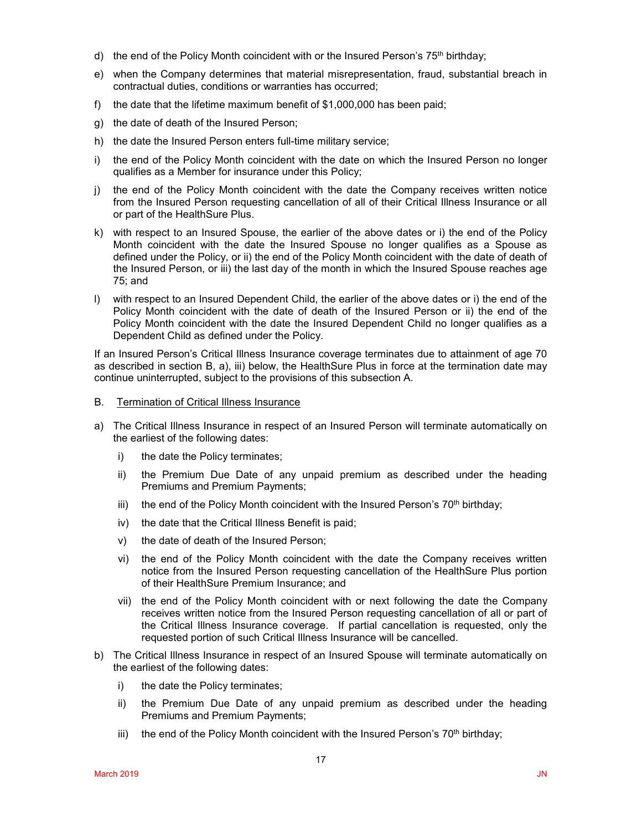- d) the end of the Policy Month coincident with or the Insured Person's  $75<sup>th</sup>$  birthday;
- e) when the Company determines that material misrepresentation, fraud, substantial breach in contractual duties, conditions or warranties has occurred;
- f) the date that the lifetime maximum benefit of \$1,000,000 has been paid;
- g) the date of death of the Insured Person;
- h) the date the Insured Person enters full-time military service;
- i) the end of the Policy Month coincident with the date on which the Insured Person no longer qualifies as a Member for insurance under this Policy;
- j) the end of the Policy Month coincident with the date the Company receives written notice from the Insured Person requesting cancellation of all of their Critical Illness Insurance or all or part of the HealthSure Plus.
- k) with respect to an Insured Spouse, the earlier of the above dates or i) the end of the Policy Month coincident with the date the Insured Spouse no longer qualifies as a Spouse as defined under the Policy, or ii) the end of the Policy Month coincident with the date of death of the Insured Person, or iii) the last day of the month in which the Insured Spouse reaches age 75; and
- l) with respect to an Insured Dependent Child, the earlier of the above dates or i) the end of the Policy Month coincident with the date of death of the Insured Person or ii) the end of the Policy Month coincident with the date the Insured Dependent Child no longer qualifies as a Dependent Child as defined under the Policy.

If an Insured Person's Critical Illness Insurance coverage terminates due to attainment of age 70 as described in section B, a), iii) below, the HealthSure Plus in force at the termination date may continue uninterrupted, subject to the provisions of this subsection A.

- B. Termination of Critical Illness Insurance
- a) The Critical Illness Insurance in respect of an Insured Person will terminate automatically on the earliest of the following dates:
	- i) the date the Policy terminates;
	- ii) the Premium Due Date of any unpaid premium as described under the heading Premiums and Premium Payments;
	- iii) the end of the Policy Month coincident with the Insured Person's  $70<sup>th</sup>$  birthday;
	- iv) the date that the Critical Illness Benefit is paid;
	- v) the date of death of the Insured Person;
	- vi) the end of the Policy Month coincident with the date the Company receives written notice from the Insured Person requesting cancellation of the HealthSure Plus portion of their HealthSure Premium Insurance; and
	- vii) the end of the Policy Month coincident with or next following the date the Company receives written notice from the Insured Person requesting cancellation of all or part of the Critical Illness Insurance coverage. If partial cancellation is requested, only the requested portion of such Critical Illness Insurance will be cancelled.
- b) The Critical Illness Insurance in respect of an Insured Spouse will terminate automatically on the earliest of the following dates:
	- i) the date the Policy terminates;
	- ii) the Premium Due Date of any unpaid premium as described under the heading Premiums and Premium Payments;
	- iii) the end of the Policy Month coincident with the Insured Person's  $70<sup>th</sup>$  birthday;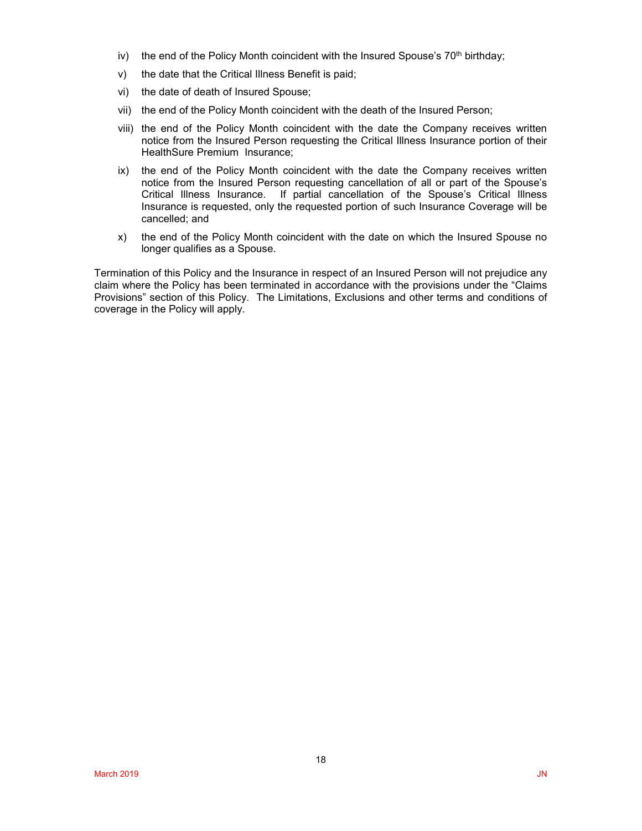- iv) the end of the Policy Month coincident with the Insured Spouse's  $70<sup>th</sup>$  birthday;
- v) the date that the Critical Illness Benefit is paid;
- vi) the date of death of Insured Spouse;
- vii) the end of the Policy Month coincident with the death of the Insured Person;
- viii) the end of the Policy Month coincident with the date the Company receives written notice from the Insured Person requesting the Critical Illness Insurance portion of their HealthSure Premium Insurance;
- ix) the end of the Policy Month coincident with the date the Company receives written notice from the Insured Person requesting cancellation of all or part of the Spouse's Critical Illness Insurance. If partial cancellation of the Spouse's Critical Illness Insurance is requested, only the requested portion of such Insurance Coverage will be cancelled; and
- x) the end of the Policy Month coincident with the date on which the Insured Spouse no longer qualifies as a Spouse.

Termination of this Policy and the Insurance in respect of an Insured Person will not prejudice any claim where the Policy has been terminated in accordance with the provisions under the "Claims Provisions" section of this Policy. The Limitations, Exclusions and other terms and conditions of coverage in the Policy will apply.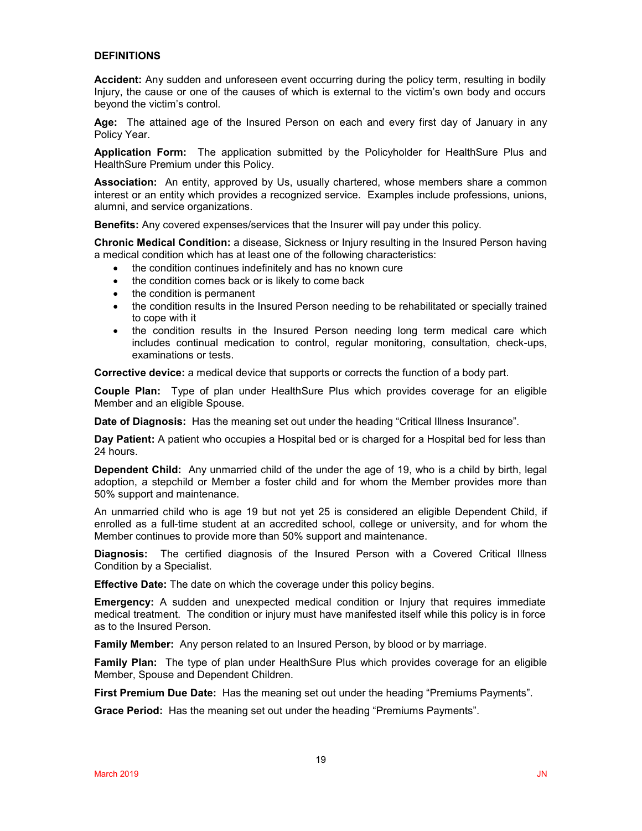### **DEFINITIONS**

**Accident:** Any sudden and unforeseen event occurring during the policy term, resulting in bodily Injury, the cause or one of the causes of which is external to the victim's own body and occurs beyond the victim's control.

**Age:** The attained age of the Insured Person on each and every first day of January in any Policy Year.

**Application Form:** The application submitted by the Policyholder for HealthSure Plus and HealthSure Premium under this Policy.

**Association:** An entity, approved by Us, usually chartered, whose members share a common interest or an entity which provides a recognized service. Examples include professions, unions, alumni, and service organizations.

**Benefits:** Any covered expenses/services that the Insurer will pay under this policy.

**Chronic Medical Condition:** a disease, Sickness or Injury resulting in the Insured Person having a medical condition which has at least one of the following characteristics:

- the condition continues indefinitely and has no known cure
- the condition comes back or is likely to come back
- the condition is permanent
- the condition results in the Insured Person needing to be rehabilitated or specially trained to cope with it
- the condition results in the Insured Person needing long term medical care which includes continual medication to control, regular monitoring, consultation, check-ups, examinations or tests.

**Corrective device:** a medical device that supports or corrects the function of a body part.

**Couple Plan:** Type of plan under HealthSure Plus which provides coverage for an eligible Member and an eligible Spouse.

**Date of Diagnosis:** Has the meaning set out under the heading "Critical Illness Insurance".

**Day Patient:** A patient who occupies a Hospital bed or is charged for a Hospital bed for less than 24 hours.

**Dependent Child:** Any unmarried child of the under the age of 19, who is a child by birth, legal adoption, a stepchild or Member a foster child and for whom the Member provides more than 50% support and maintenance.

An unmarried child who is age 19 but not yet 25 is considered an eligible Dependent Child, if enrolled as a full-time student at an accredited school, college or university, and for whom the Member continues to provide more than 50% support and maintenance.

**Diagnosis:** The certified diagnosis of the Insured Person with a Covered Critical Illness Condition by a Specialist.

**Effective Date:** The date on which the coverage under this policy begins.

**Emergency:** A sudden and unexpected medical condition or Injury that requires immediate medical treatment. The condition or injury must have manifested itself while this policy is in force as to the Insured Person.

**Family Member:** Any person related to an Insured Person, by blood or by marriage.

**Family Plan:** The type of plan under HealthSure Plus which provides coverage for an eligible Member, Spouse and Dependent Children.

**First Premium Due Date:** Has the meaning set out under the heading "Premiums Payments".

**Grace Period:** Has the meaning set out under the heading "Premiums Payments".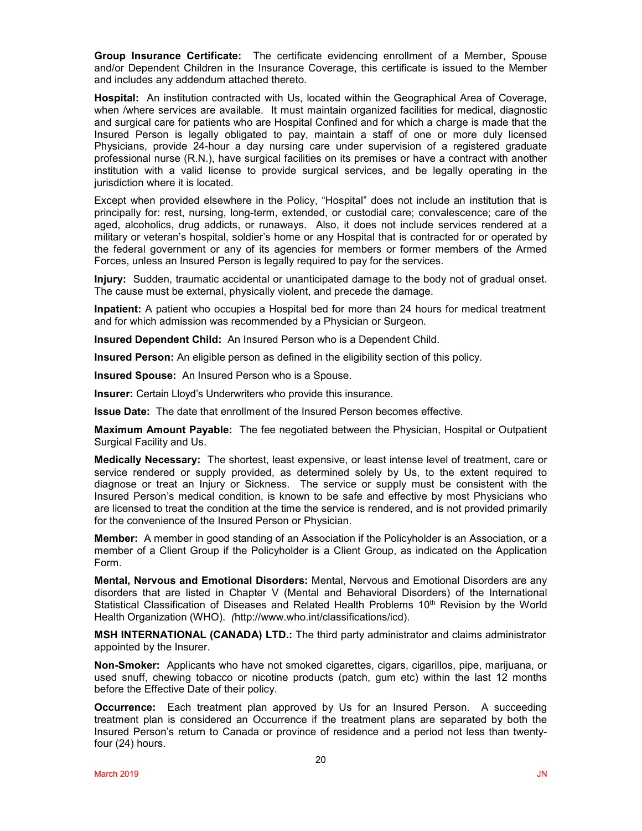**Group Insurance Certificate:** The certificate evidencing enrollment of a Member, Spouse and/or Dependent Children in the Insurance Coverage, this certificate is issued to the Member and includes any addendum attached thereto.

**Hospital:** An institution contracted with Us, located within the Geographical Area of Coverage, when /where services are available. It must maintain organized facilities for medical, diagnostic and surgical care for patients who are Hospital Confined and for which a charge is made that the Insured Person is legally obligated to pay, maintain a staff of one or more duly licensed Physicians, provide 24-hour a day nursing care under supervision of a registered graduate professional nurse (R.N.), have surgical facilities on its premises or have a contract with another institution with a valid license to provide surgical services, and be legally operating in the jurisdiction where it is located.

Except when provided elsewhere in the Policy, "Hospital" does not include an institution that is principally for: rest, nursing, long-term, extended, or custodial care; convalescence; care of the aged, alcoholics, drug addicts, or runaways. Also, it does not include services rendered at a military or veteran's hospital, soldier's home or any Hospital that is contracted for or operated by the federal government or any of its agencies for members or former members of the Armed Forces, unless an Insured Person is legally required to pay for the services.

**Injury:** Sudden, traumatic accidental or unanticipated damage to the body not of gradual onset. The cause must be external, physically violent, and precede the damage.

**Inpatient:** A patient who occupies a Hospital bed for more than 24 hours for medical treatment and for which admission was recommended by a Physician or Surgeon.

**Insured Dependent Child:** An Insured Person who is a Dependent Child.

**Insured Person:** An eligible person as defined in the eligibility section of this policy.

**Insured Spouse:** An Insured Person who is a Spouse.

**Insurer:** Certain Lloyd's Underwriters who provide this insurance.

**Issue Date:** The date that enrollment of the Insured Person becomes effective.

**Maximum Amount Payable:** The fee negotiated between the Physician, Hospital or Outpatient Surgical Facility and Us.

**Medically Necessary:** The shortest, least expensive, or least intense level of treatment, care or service rendered or supply provided, as determined solely by Us, to the extent required to diagnose or treat an Injury or Sickness. The service or supply must be consistent with the Insured Person's medical condition, is known to be safe and effective by most Physicians who are licensed to treat the condition at the time the service is rendered, and is not provided primarily for the convenience of the Insured Person or Physician.

**Member:** A member in good standing of an Association if the Policyholder is an Association, or a member of a Client Group if the Policyholder is a Client Group, as indicated on the Application Form.

**Mental, Nervous and Emotional Disorders:** Mental, Nervous and Emotional Disorders are any disorders that are listed in Chapter V (Mental and Behavioral Disorders) of the International Statistical Classification of Diseases and Related Health Problems  $10<sup>th</sup>$  Revision by the World Health Organization (WHO). *(*http://www.who.int/classifications/icd).

**MSH INTERNATIONAL (CANADA) LTD.:** The third party administrator and claims administrator appointed by the Insurer.

**Non-Smoker:** Applicants who have not smoked cigarettes, cigars, cigarillos, pipe, marijuana, or used snuff, chewing tobacco or nicotine products (patch, gum etc) within the last 12 months before the Effective Date of their policy.

**Occurrence:** Each treatment plan approved by Us for an Insured Person. A succeeding treatment plan is considered an Occurrence if the treatment plans are separated by both the Insured Person's return to Canada or province of residence and a period not less than twentyfour (24) hours.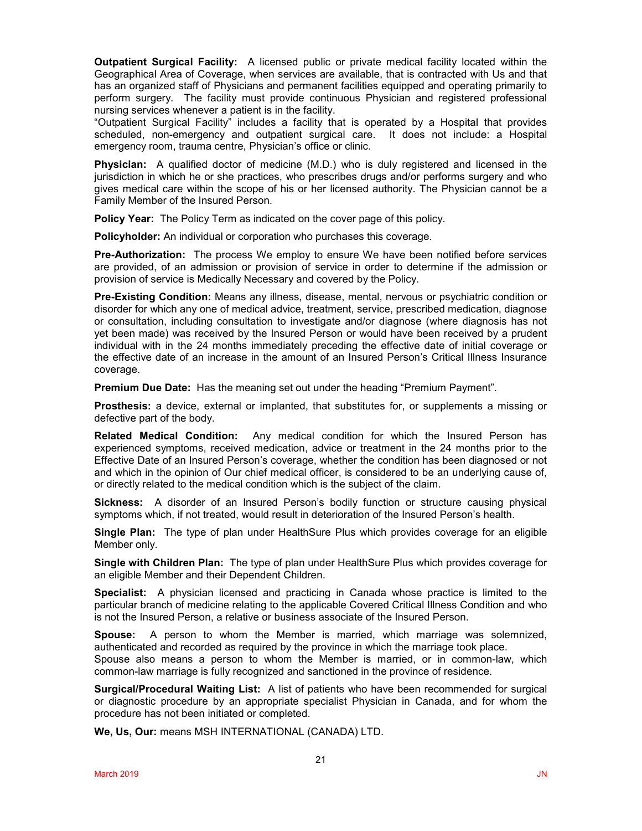**Outpatient Surgical Facility:** A licensed public or private medical facility located within the Geographical Area of Coverage, when services are available, that is contracted with Us and that has an organized staff of Physicians and permanent facilities equipped and operating primarily to perform surgery. The facility must provide continuous Physician and registered professional nursing services whenever a patient is in the facility.

"Outpatient Surgical Facility" includes a facility that is operated by a Hospital that provides scheduled, non-emergency and outpatient surgical care. It does not include: a Hospital emergency room, trauma centre, Physician's office or clinic.

**Physician:** A qualified doctor of medicine (M.D.) who is duly registered and licensed in the jurisdiction in which he or she practices, who prescribes drugs and/or performs surgery and who gives medical care within the scope of his or her licensed authority. The Physician cannot be a Family Member of the Insured Person.

**Policy Year:** The Policy Term as indicated on the cover page of this policy.

**Policyholder:** An individual or corporation who purchases this coverage.

**Pre-Authorization:** The process We employ to ensure We have been notified before services are provided, of an admission or provision of service in order to determine if the admission or provision of service is Medically Necessary and covered by the Policy.

**Pre-Existing Condition:** Means any illness, disease, mental, nervous or psychiatric condition or disorder for which any one of medical advice, treatment, service, prescribed medication, diagnose or consultation, including consultation to investigate and/or diagnose (where diagnosis has not yet been made) was received by the Insured Person or would have been received by a prudent individual with in the 24 months immediately preceding the effective date of initial coverage or the effective date of an increase in the amount of an Insured Person's Critical Illness Insurance coverage.

**Premium Due Date:** Has the meaning set out under the heading "Premium Payment".

**Prosthesis:** a device, external or implanted, that substitutes for, or supplements a missing or defective part of the body.

**Related Medical Condition:** Any medical condition for which the Insured Person has experienced symptoms, received medication, advice or treatment in the 24 months prior to the Effective Date of an Insured Person's coverage, whether the condition has been diagnosed or not and which in the opinion of Our chief medical officer, is considered to be an underlying cause of, or directly related to the medical condition which is the subject of the claim.

**Sickness:** A disorder of an Insured Person's bodily function or structure causing physical symptoms which, if not treated, would result in deterioration of the Insured Person's health.

**Single Plan:** The type of plan under HealthSure Plus which provides coverage for an eligible Member only.

**Single with Children Plan:** The type of plan under HealthSure Plus which provides coverage for an eligible Member and their Dependent Children.

**Specialist:** A physician licensed and practicing in Canada whose practice is limited to the particular branch of medicine relating to the applicable Covered Critical Illness Condition and who is not the Insured Person, a relative or business associate of the Insured Person.

**Spouse:** A person to whom the Member is married, which marriage was solemnized, authenticated and recorded as required by the province in which the marriage took place.

Spouse also means a person to whom the Member is married, or in common-law, which common-law marriage is fully recognized and sanctioned in the province of residence.

**Surgical/Procedural Waiting List:** A list of patients who have been recommended for surgical or diagnostic procedure by an appropriate specialist Physician in Canada, and for whom the procedure has not been initiated or completed.

**We, Us, Our:** means MSH INTERNATIONAL (CANADA) LTD.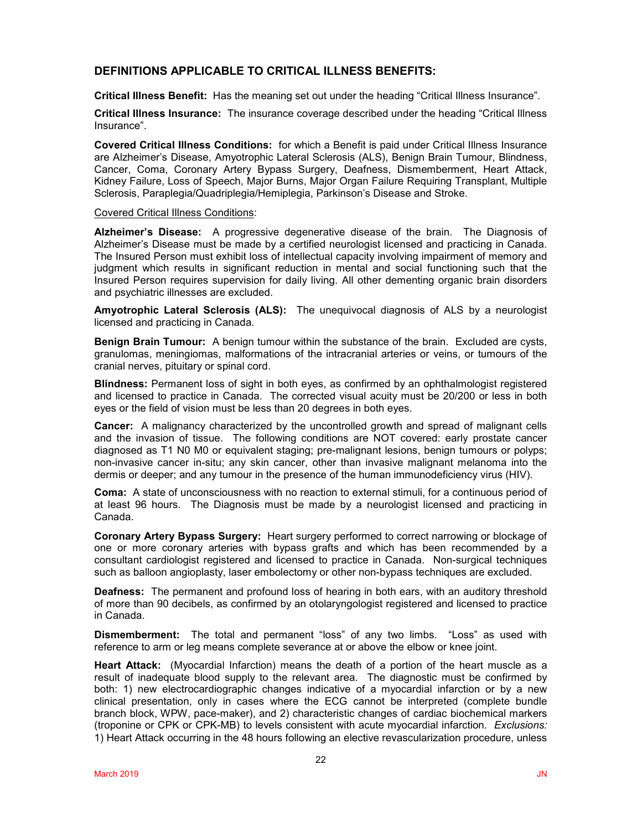## **DEFINITIONS APPLICABLE TO CRITICAL ILLNESS BENEFITS:**

**Critical Illness Benefit:** Has the meaning set out under the heading "Critical Illness Insurance".

**Critical Illness Insurance:** The insurance coverage described under the heading "Critical Illness Insurance".

**Covered Critical Illness Conditions:** for which a Benefit is paid under Critical Illness Insurance are Alzheimer's Disease, Amyotrophic Lateral Sclerosis (ALS), Benign Brain Tumour, Blindness, Cancer, Coma, Coronary Artery Bypass Surgery, Deafness, Dismemberment, Heart Attack, Kidney Failure, Loss of Speech, Major Burns, Major Organ Failure Requiring Transplant, Multiple Sclerosis, Paraplegia/Quadriplegia/Hemiplegia, Parkinson's Disease and Stroke.

#### Covered Critical Illness Conditions:

**Alzheimer's Disease:** A progressive degenerative disease of the brain. The Diagnosis of Alzheimer's Disease must be made by a certified neurologist licensed and practicing in Canada. The Insured Person must exhibit loss of intellectual capacity involving impairment of memory and judgment which results in significant reduction in mental and social functioning such that the Insured Person requires supervision for daily living. All other dementing organic brain disorders and psychiatric illnesses are excluded.

**Amyotrophic Lateral Sclerosis (ALS):** The unequivocal diagnosis of ALS by a neurologist licensed and practicing in Canada.

**Benign Brain Tumour:** A benign tumour within the substance of the brain. Excluded are cysts, granulomas, meningiomas, malformations of the intracranial arteries or veins, or tumours of the cranial nerves, pituitary or spinal cord.

**Blindness:** Permanent loss of sight in both eyes, as confirmed by an ophthalmologist registered and licensed to practice in Canada. The corrected visual acuity must be 20/200 or less in both eyes or the field of vision must be less than 20 degrees in both eyes.

**Cancer:** A malignancy characterized by the uncontrolled growth and spread of malignant cells and the invasion of tissue. The following conditions are NOT covered: early prostate cancer diagnosed as T1 N0 M0 or equivalent staging; pre-malignant lesions, benign tumours or polyps; non-invasive cancer in-situ; any skin cancer, other than invasive malignant melanoma into the dermis or deeper; and any tumour in the presence of the human immunodeficiency virus (HIV).

**Coma:** A state of unconsciousness with no reaction to external stimuli, for a continuous period of at least 96 hours. The Diagnosis must be made by a neurologist licensed and practicing in Canada.

**Coronary Artery Bypass Surgery:** Heart surgery performed to correct narrowing or blockage of one or more coronary arteries with bypass grafts and which has been recommended by a consultant cardiologist registered and licensed to practice in Canada. Non-surgical techniques such as balloon angioplasty, laser embolectomy or other non-bypass techniques are excluded.

**Deafness:** The permanent and profound loss of hearing in both ears, with an auditory threshold of more than 90 decibels, as confirmed by an otolaryngologist registered and licensed to practice in Canada.

**Dismemberment:** The total and permanent "loss" of any two limbs. "Loss" as used with reference to arm or leg means complete severance at or above the elbow or knee joint.

**Heart Attack:** (Myocardial Infarction) means the death of a portion of the heart muscle as a result of inadequate blood supply to the relevant area. The diagnostic must be confirmed by both: 1) new electrocardiographic changes indicative of a myocardial infarction or by a new clinical presentation, only in cases where the ECG cannot be interpreted (complete bundle branch block, WPW, pace-maker), and 2) characteristic changes of cardiac biochemical markers (troponine or CPK or CPK-MB) to levels consistent with acute myocardial infarction. *Exclusions:*  1) Heart Attack occurring in the 48 hours following an elective revascularization procedure, unless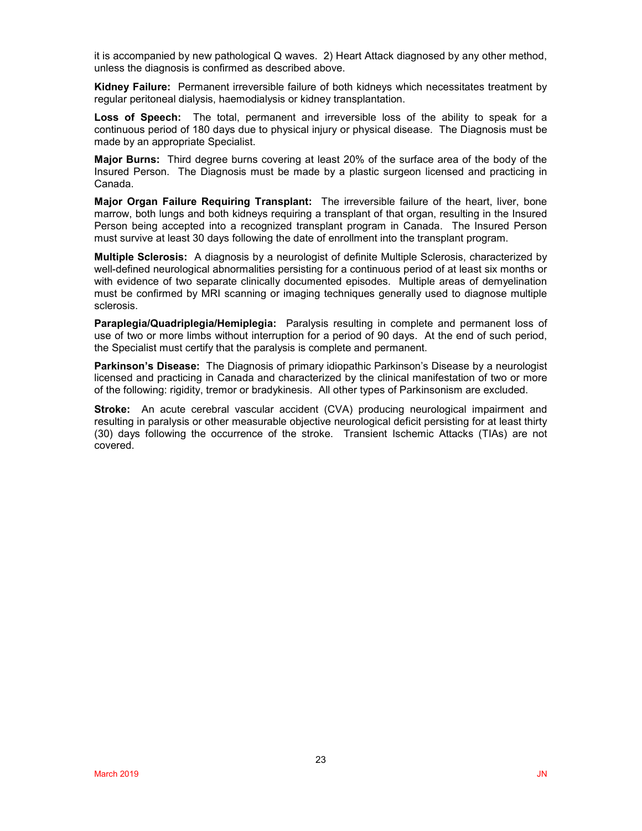it is accompanied by new pathological Q waves. 2) Heart Attack diagnosed by any other method, unless the diagnosis is confirmed as described above.

**Kidney Failure:** Permanent irreversible failure of both kidneys which necessitates treatment by regular peritoneal dialysis, haemodialysis or kidney transplantation.

**Loss of Speech:** The total, permanent and irreversible loss of the ability to speak for a continuous period of 180 days due to physical injury or physical disease. The Diagnosis must be made by an appropriate Specialist.

**Major Burns:** Third degree burns covering at least 20% of the surface area of the body of the Insured Person. The Diagnosis must be made by a plastic surgeon licensed and practicing in Canada.

**Major Organ Failure Requiring Transplant:** The irreversible failure of the heart, liver, bone marrow, both lungs and both kidneys requiring a transplant of that organ, resulting in the Insured Person being accepted into a recognized transplant program in Canada. The Insured Person must survive at least 30 days following the date of enrollment into the transplant program.

**Multiple Sclerosis:** A diagnosis by a neurologist of definite Multiple Sclerosis, characterized by well-defined neurological abnormalities persisting for a continuous period of at least six months or with evidence of two separate clinically documented episodes. Multiple areas of demyelination must be confirmed by MRI scanning or imaging techniques generally used to diagnose multiple sclerosis.

**Paraplegia/Quadriplegia/Hemiplegia:** Paralysis resulting in complete and permanent loss of use of two or more limbs without interruption for a period of 90 days. At the end of such period, the Specialist must certify that the paralysis is complete and permanent.

**Parkinson's Disease:** The Diagnosis of primary idiopathic Parkinson's Disease by a neurologist licensed and practicing in Canada and characterized by the clinical manifestation of two or more of the following: rigidity, tremor or bradykinesis. All other types of Parkinsonism are excluded.

**Stroke:** An acute cerebral vascular accident (CVA) producing neurological impairment and resulting in paralysis or other measurable objective neurological deficit persisting for at least thirty (30) days following the occurrence of the stroke. Transient Ischemic Attacks (TIAs) are not covered.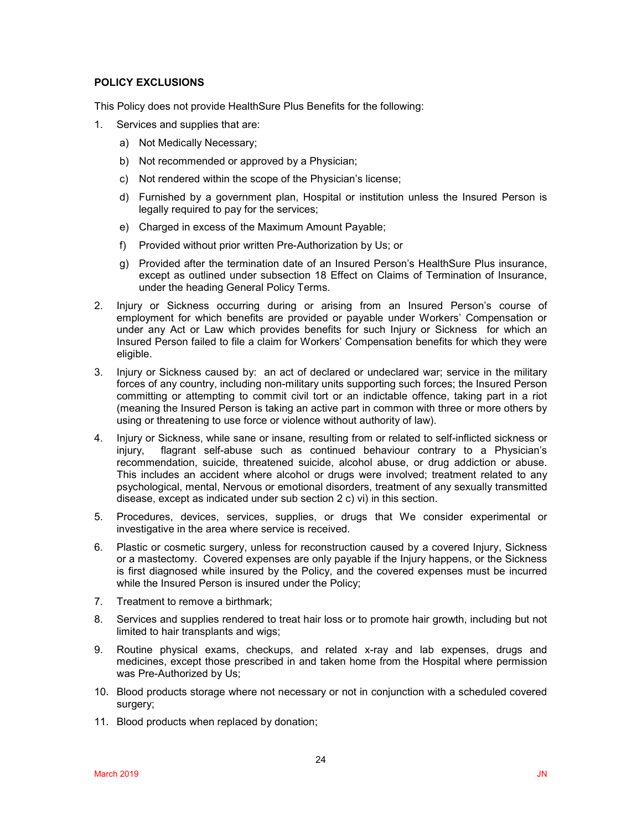## **POLICY EXCLUSIONS**

This Policy does not provide HealthSure Plus Benefits for the following:

- 1. Services and supplies that are:
	- a) Not Medically Necessary;
	- b) Not recommended or approved by a Physician;
	- c) Not rendered within the scope of the Physician's license;
	- d) Furnished by a government plan, Hospital or institution unless the Insured Person is legally required to pay for the services;
	- e) Charged in excess of the Maximum Amount Payable;
	- f) Provided without prior written Pre-Authorization by Us; or
	- g) Provided after the termination date of an Insured Person's HealthSure Plus insurance, except as outlined under subsection 18 Effect on Claims of Termination of Insurance, under the heading General Policy Terms.
- 2. Injury or Sickness occurring during or arising from an Insured Person's course of employment for which benefits are provided or payable under Workers' Compensation or under any Act or Law which provides benefits for such Injury or Sickness for which an Insured Person failed to file a claim for Workers' Compensation benefits for which they were eligible.
- 3. Injury or Sickness caused by: an act of declared or undeclared war; service in the military forces of any country, including non-military units supporting such forces; the Insured Person committing or attempting to commit civil tort or an indictable offence, taking part in a riot (meaning the Insured Person is taking an active part in common with three or more others by using or threatening to use force or violence without authority of law).
- 4. Injury or Sickness, while sane or insane, resulting from or related to self-inflicted sickness or injury, flagrant self-abuse such as continued behaviour contrary to a Physician's recommendation, suicide, threatened suicide, alcohol abuse, or drug addiction or abuse. This includes an accident where alcohol or drugs were involved; treatment related to any psychological, mental, Nervous or emotional disorders, treatment of any sexually transmitted disease, except as indicated under sub section 2 c) vi) in this section.
- 5. Procedures, devices, services, supplies, or drugs that We consider experimental or investigative in the area where service is received.
- 6. Plastic or cosmetic surgery, unless for reconstruction caused by a covered Injury, Sickness or a mastectomy. Covered expenses are only payable if the Injury happens, or the Sickness is first diagnosed while insured by the Policy, and the covered expenses must be incurred while the Insured Person is insured under the Policy;
- 7. Treatment to remove a birthmark;
- 8. Services and supplies rendered to treat hair loss or to promote hair growth, including but not limited to hair transplants and wigs;
- 9. Routine physical exams, checkups, and related x-ray and lab expenses, drugs and medicines, except those prescribed in and taken home from the Hospital where permission was Pre-Authorized by Us;
- 10. Blood products storage where not necessary or not in conjunction with a scheduled covered surgery;
- 11. Blood products when replaced by donation;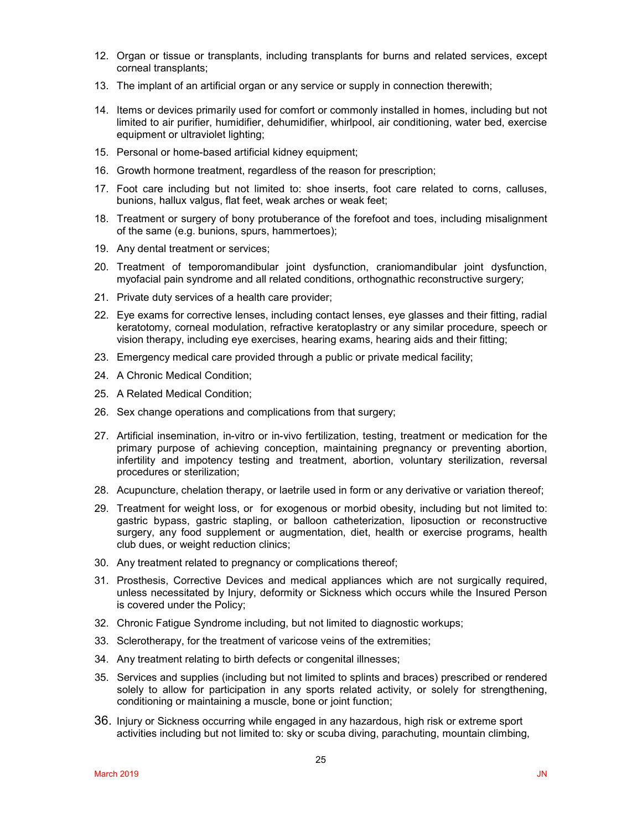- 12. Organ or tissue or transplants, including transplants for burns and related services, except corneal transplants;
- 13. The implant of an artificial organ or any service or supply in connection therewith;
- 14. Items or devices primarily used for comfort or commonly installed in homes, including but not limited to air purifier, humidifier, dehumidifier, whirlpool, air conditioning, water bed, exercise equipment or ultraviolet lighting;
- 15. Personal or home-based artificial kidney equipment:
- 16. Growth hormone treatment, regardless of the reason for prescription;
- 17. Foot care including but not limited to: shoe inserts, foot care related to corns, calluses, bunions, hallux valgus, flat feet, weak arches or weak feet;
- 18. Treatment or surgery of bony protuberance of the forefoot and toes, including misalignment of the same (e.g. bunions, spurs, hammertoes);
- 19. Any dental treatment or services;
- 20. Treatment of temporomandibular joint dysfunction, craniomandibular joint dysfunction, myofacial pain syndrome and all related conditions, orthognathic reconstructive surgery;
- 21. Private duty services of a health care provider;
- 22. Eye exams for corrective lenses, including contact lenses, eye glasses and their fitting, radial keratotomy, corneal modulation, refractive keratoplastry or any similar procedure, speech or vision therapy, including eye exercises, hearing exams, hearing aids and their fitting;
- 23. Emergency medical care provided through a public or private medical facility;
- 24. A Chronic Medical Condition;
- 25. A Related Medical Condition;
- 26. Sex change operations and complications from that surgery;
- 27. Artificial insemination, in-vitro or in-vivo fertilization, testing, treatment or medication for the primary purpose of achieving conception, maintaining pregnancy or preventing abortion, infertility and impotency testing and treatment, abortion, voluntary sterilization, reversal procedures or sterilization;
- 28. Acupuncture, chelation therapy, or laetrile used in form or any derivative or variation thereof;
- 29. Treatment for weight loss, or for exogenous or morbid obesity, including but not limited to: gastric bypass, gastric stapling, or balloon catheterization, liposuction or reconstructive surgery, any food supplement or augmentation, diet, health or exercise programs, health club dues, or weight reduction clinics;
- 30. Any treatment related to pregnancy or complications thereof;
- 31. Prosthesis, Corrective Devices and medical appliances which are not surgically required, unless necessitated by Injury, deformity or Sickness which occurs while the Insured Person is covered under the Policy;
- 32. Chronic Fatigue Syndrome including, but not limited to diagnostic workups;
- 33. Sclerotherapy, for the treatment of varicose veins of the extremities;
- 34. Any treatment relating to birth defects or congenital illnesses;
- 35. Services and supplies (including but not limited to splints and braces) prescribed or rendered solely to allow for participation in any sports related activity, or solely for strengthening, conditioning or maintaining a muscle, bone or joint function;
- 36. Injury or Sickness occurring while engaged in any hazardous, high risk or extreme sport activities including but not limited to: sky or scuba diving, parachuting, mountain climbing,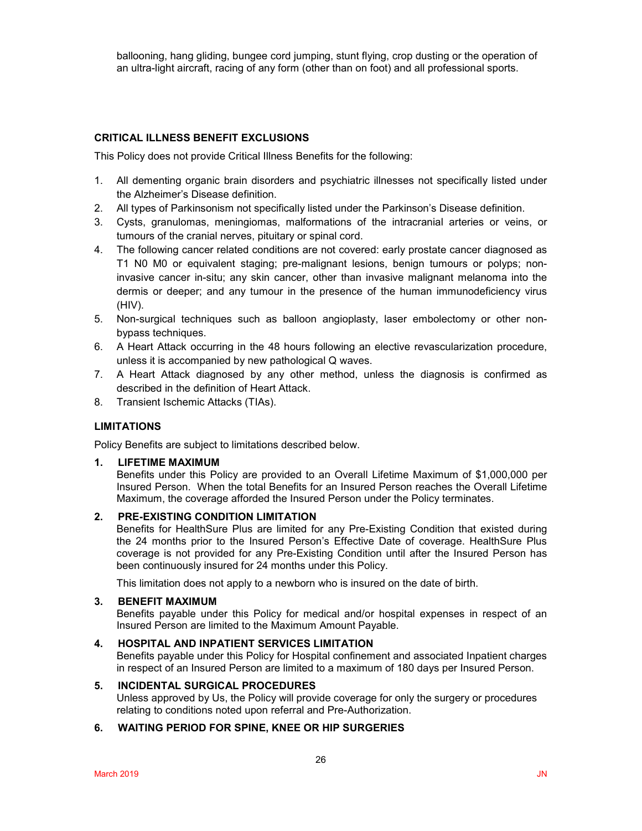ballooning, hang gliding, bungee cord jumping, stunt flying, crop dusting or the operation of an ultra-light aircraft, racing of any form (other than on foot) and all professional sports.

## **CRITICAL ILLNESS BENEFIT EXCLUSIONS**

This Policy does not provide Critical Illness Benefits for the following:

- 1. All dementing organic brain disorders and psychiatric illnesses not specifically listed under the Alzheimer's Disease definition.
- 2. All types of Parkinsonism not specifically listed under the Parkinson's Disease definition.
- 3. Cysts, granulomas, meningiomas, malformations of the intracranial arteries or veins, or tumours of the cranial nerves, pituitary or spinal cord.
- 4. The following cancer related conditions are not covered: early prostate cancer diagnosed as T1 N0 M0 or equivalent staging; pre-malignant lesions, benign tumours or polyps; noninvasive cancer in-situ; any skin cancer, other than invasive malignant melanoma into the dermis or deeper; and any tumour in the presence of the human immunodeficiency virus (HIV).
- 5. Non-surgical techniques such as balloon angioplasty, laser embolectomy or other nonbypass techniques.
- 6. A Heart Attack occurring in the 48 hours following an elective revascularization procedure, unless it is accompanied by new pathological Q waves.
- 7. A Heart Attack diagnosed by any other method, unless the diagnosis is confirmed as described in the definition of Heart Attack.
- 8. Transient Ischemic Attacks (TIAs).

## **LIMITATIONS**

Policy Benefits are subject to limitations described below.

### **1. LIFETIME MAXIMUM**

Benefits under this Policy are provided to an Overall Lifetime Maximum of \$1,000,000 per Insured Person. When the total Benefits for an Insured Person reaches the Overall Lifetime Maximum, the coverage afforded the Insured Person under the Policy terminates.

## **2. PRE-EXISTING CONDITION LIMITATION**

Benefits for HealthSure Plus are limited for any Pre-Existing Condition that existed during the 24 months prior to the Insured Person's Effective Date of coverage. HealthSure Plus coverage is not provided for any Pre-Existing Condition until after the Insured Person has been continuously insured for 24 months under this Policy.

This limitation does not apply to a newborn who is insured on the date of birth.

### **3. BENEFIT MAXIMUM**

Benefits payable under this Policy for medical and/or hospital expenses in respect of an Insured Person are limited to the Maximum Amount Payable.

### **4. HOSPITAL AND INPATIENT SERVICES LIMITATION**

Benefits payable under this Policy for Hospital confinement and associated Inpatient charges in respect of an Insured Person are limited to a maximum of 180 days per Insured Person.

### **5. INCIDENTAL SURGICAL PROCEDURES**

Unless approved by Us, the Policy will provide coverage for only the surgery or procedures relating to conditions noted upon referral and Pre-Authorization.

## **6. WAITING PERIOD FOR SPINE, KNEE OR HIP SURGERIES**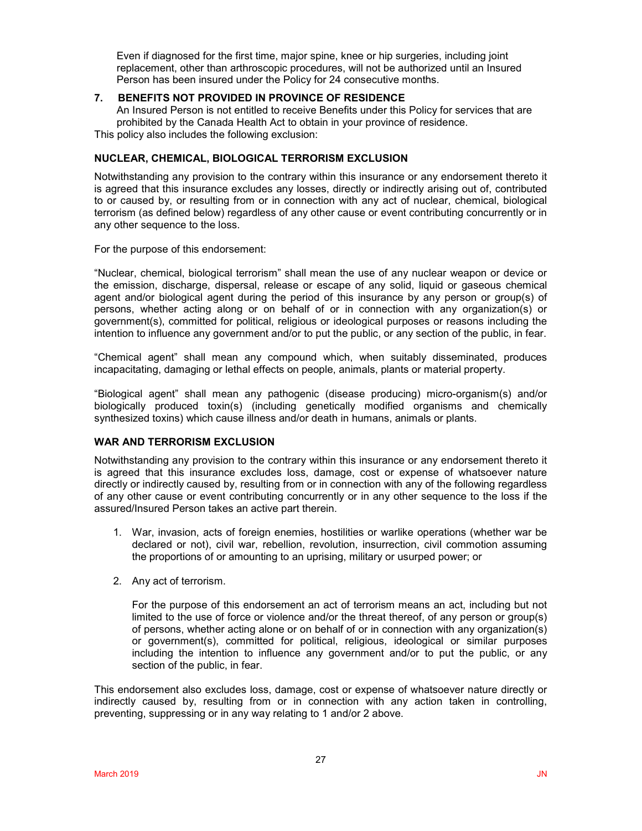Even if diagnosed for the first time, major spine, knee or hip surgeries, including joint replacement, other than arthroscopic procedures, will not be authorized until an Insured Person has been insured under the Policy for 24 consecutive months.

## **7. BENEFITS NOT PROVIDED IN PROVINCE OF RESIDENCE**

An Insured Person is not entitled to receive Benefits under this Policy for services that are prohibited by the Canada Health Act to obtain in your province of residence. This policy also includes the following exclusion:

## **NUCLEAR, CHEMICAL, BIOLOGICAL TERRORISM EXCLUSION**

Notwithstanding any provision to the contrary within this insurance or any endorsement thereto it is agreed that this insurance excludes any losses, directly or indirectly arising out of, contributed to or caused by, or resulting from or in connection with any act of nuclear, chemical, biological terrorism (as defined below) regardless of any other cause or event contributing concurrently or in any other sequence to the loss.

For the purpose of this endorsement:

"Nuclear, chemical, biological terrorism" shall mean the use of any nuclear weapon or device or the emission, discharge, dispersal, release or escape of any solid, liquid or gaseous chemical agent and/or biological agent during the period of this insurance by any person or group(s) of persons, whether acting along or on behalf of or in connection with any organization(s) or government(s), committed for political, religious or ideological purposes or reasons including the intention to influence any government and/or to put the public, or any section of the public, in fear.

"Chemical agent" shall mean any compound which, when suitably disseminated, produces incapacitating, damaging or lethal effects on people, animals, plants or material property.

"Biological agent" shall mean any pathogenic (disease producing) micro-organism(s) and/or biologically produced toxin(s) (including genetically modified organisms and chemically synthesized toxins) which cause illness and/or death in humans, animals or plants.

## **WAR AND TERRORISM EXCLUSION**

Notwithstanding any provision to the contrary within this insurance or any endorsement thereto it is agreed that this insurance excludes loss, damage, cost or expense of whatsoever nature directly or indirectly caused by, resulting from or in connection with any of the following regardless of any other cause or event contributing concurrently or in any other sequence to the loss if the assured/Insured Person takes an active part therein.

- 1. War, invasion, acts of foreign enemies, hostilities or warlike operations (whether war be declared or not), civil war, rebellion, revolution, insurrection, civil commotion assuming the proportions of or amounting to an uprising, military or usurped power; or
- 2. Any act of terrorism.

For the purpose of this endorsement an act of terrorism means an act, including but not limited to the use of force or violence and/or the threat thereof, of any person or group(s) of persons, whether acting alone or on behalf of or in connection with any organization(s) or government(s), committed for political, religious, ideological or similar purposes including the intention to influence any government and/or to put the public, or any section of the public, in fear.

This endorsement also excludes loss, damage, cost or expense of whatsoever nature directly or indirectly caused by, resulting from or in connection with any action taken in controlling, preventing, suppressing or in any way relating to 1 and/or 2 above.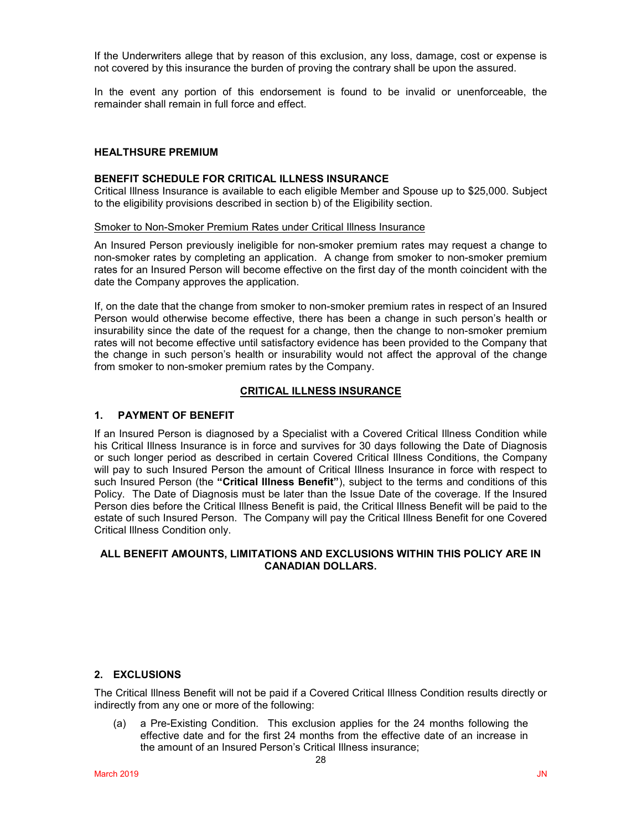If the Underwriters allege that by reason of this exclusion, any loss, damage, cost or expense is not covered by this insurance the burden of proving the contrary shall be upon the assured.

In the event any portion of this endorsement is found to be invalid or unenforceable, the remainder shall remain in full force and effect.

### **HEALTHSURE PREMIUM**

### **BENEFIT SCHEDULE FOR CRITICAL ILLNESS INSURANCE**

Critical Illness Insurance is available to each eligible Member and Spouse up to \$25,000. Subject to the eligibility provisions described in section b) of the Eligibility section.

#### Smoker to Non-Smoker Premium Rates under Critical Illness Insurance

An Insured Person previously ineligible for non-smoker premium rates may request a change to non-smoker rates by completing an application. A change from smoker to non-smoker premium rates for an Insured Person will become effective on the first day of the month coincident with the date the Company approves the application.

If, on the date that the change from smoker to non-smoker premium rates in respect of an Insured Person would otherwise become effective, there has been a change in such person's health or insurability since the date of the request for a change, then the change to non-smoker premium rates will not become effective until satisfactory evidence has been provided to the Company that the change in such person's health or insurability would not affect the approval of the change from smoker to non-smoker premium rates by the Company.

### **CRITICAL ILLNESS INSURANCE**

## **1. PAYMENT OF BENEFIT**

If an Insured Person is diagnosed by a Specialist with a Covered Critical Illness Condition while his Critical Illness Insurance is in force and survives for 30 days following the Date of Diagnosis or such longer period as described in certain Covered Critical Illness Conditions, the Company will pay to such Insured Person the amount of Critical Illness Insurance in force with respect to such Insured Person (the **"Critical Illness Benefit"**), subject to the terms and conditions of this Policy. The Date of Diagnosis must be later than the Issue Date of the coverage. If the Insured Person dies before the Critical Illness Benefit is paid, the Critical Illness Benefit will be paid to the estate of such Insured Person. The Company will pay the Critical Illness Benefit for one Covered Critical Illness Condition only.

## **ALL BENEFIT AMOUNTS, LIMITATIONS AND EXCLUSIONS WITHIN THIS POLICY ARE IN CANADIAN DOLLARS.**

## **2. EXCLUSIONS**

The Critical Illness Benefit will not be paid if a Covered Critical Illness Condition results directly or indirectly from any one or more of the following:

(a) a Pre-Existing Condition. This exclusion applies for the 24 months following the effective date and for the first 24 months from the effective date of an increase in the amount of an Insured Person's Critical Illness insurance;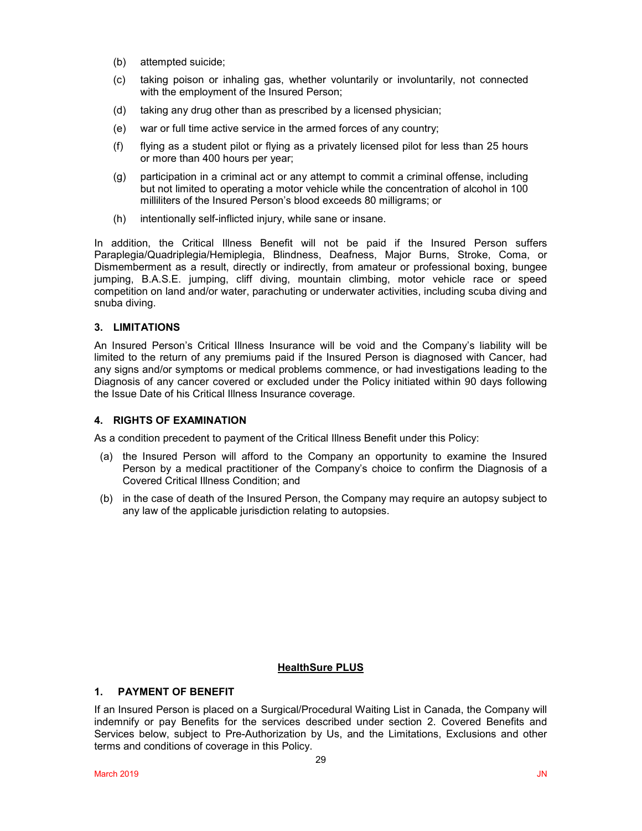- (b) attempted suicide;
- (c) taking poison or inhaling gas, whether voluntarily or involuntarily, not connected with the employment of the Insured Person;
- (d) taking any drug other than as prescribed by a licensed physician;
- (e) war or full time active service in the armed forces of any country;
- (f) flying as a student pilot or flying as a privately licensed pilot for less than 25 hours or more than 400 hours per year;
- (g) participation in a criminal act or any attempt to commit a criminal offense, including but not limited to operating a motor vehicle while the concentration of alcohol in 100 milliliters of the Insured Person's blood exceeds 80 milligrams; or
- (h) intentionally self-inflicted injury, while sane or insane.

In addition, the Critical Illness Benefit will not be paid if the Insured Person suffers Paraplegia/Quadriplegia/Hemiplegia, Blindness, Deafness, Major Burns, Stroke, Coma, or Dismemberment as a result, directly or indirectly, from amateur or professional boxing, bungee jumping, B.A.S.E. jumping, cliff diving, mountain climbing, motor vehicle race or speed competition on land and/or water, parachuting or underwater activities, including scuba diving and snuba diving.

## **3. LIMITATIONS**

An Insured Person's Critical Illness Insurance will be void and the Company's liability will be limited to the return of any premiums paid if the Insured Person is diagnosed with Cancer, had any signs and/or symptoms or medical problems commence, or had investigations leading to the Diagnosis of any cancer covered or excluded under the Policy initiated within 90 days following the Issue Date of his Critical Illness Insurance coverage.

## **4. RIGHTS OF EXAMINATION**

As a condition precedent to payment of the Critical Illness Benefit under this Policy:

- (a) the Insured Person will afford to the Company an opportunity to examine the Insured Person by a medical practitioner of the Company's choice to confirm the Diagnosis of a Covered Critical Illness Condition; and
- (b) in the case of death of the Insured Person, the Company may require an autopsy subject to any law of the applicable jurisdiction relating to autopsies.

### **HealthSure PLUS**

## **1. PAYMENT OF BENEFIT**

If an Insured Person is placed on a Surgical/Procedural Waiting List in Canada, the Company will indemnify or pay Benefits for the services described under section 2. Covered Benefits and Services below, subject to Pre-Authorization by Us, and the Limitations, Exclusions and other terms and conditions of coverage in this Policy.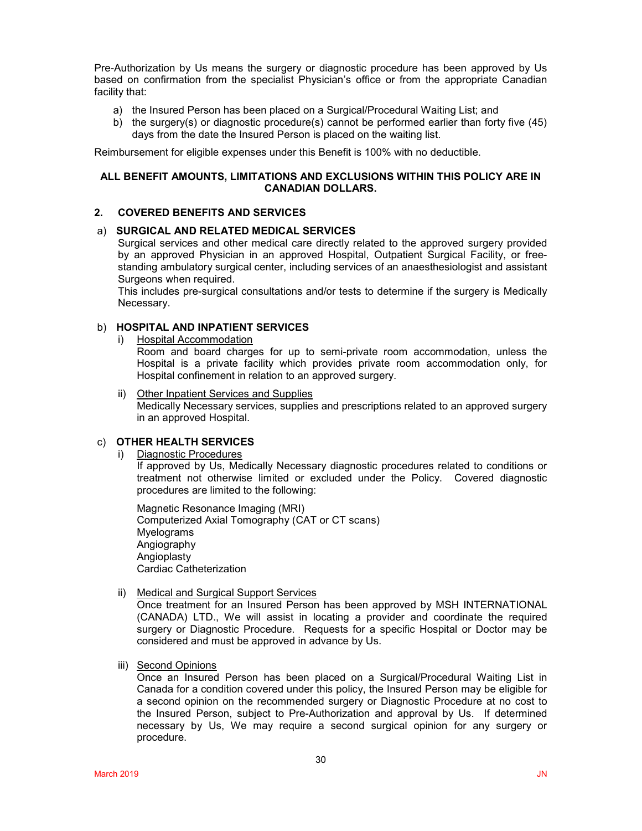Pre-Authorization by Us means the surgery or diagnostic procedure has been approved by Us based on confirmation from the specialist Physician's office or from the appropriate Canadian facility that:

- a) the Insured Person has been placed on a Surgical/Procedural Waiting List; and
- b) the surgery(s) or diagnostic procedure(s) cannot be performed earlier than forty five (45) days from the date the Insured Person is placed on the waiting list.

Reimbursement for eligible expenses under this Benefit is 100% with no deductible.

### **ALL BENEFIT AMOUNTS, LIMITATIONS AND EXCLUSIONS WITHIN THIS POLICY ARE IN CANADIAN DOLLARS.**

## **2. COVERED BENEFITS AND SERVICES**

### a) **SURGICAL AND RELATED MEDICAL SERVICES**

Surgical services and other medical care directly related to the approved surgery provided by an approved Physician in an approved Hospital, Outpatient Surgical Facility, or freestanding ambulatory surgical center, including services of an anaesthesiologist and assistant Surgeons when required.

This includes pre-surgical consultations and/or tests to determine if the surgery is Medically Necessary.

## b) **HOSPITAL AND INPATIENT SERVICES**

Hospital Accommodation

Room and board charges for up to semi-private room accommodation, unless the Hospital is a private facility which provides private room accommodation only, for Hospital confinement in relation to an approved surgery.

ii) Other Inpatient Services and Supplies Medically Necessary services, supplies and prescriptions related to an approved surgery in an approved Hospital.

#### c) **OTHER HEALTH SERVICES**

i) Diagnostic Procedures

If approved by Us, Medically Necessary diagnostic procedures related to conditions or treatment not otherwise limited or excluded under the Policy. Covered diagnostic procedures are limited to the following:

Magnetic Resonance Imaging (MRI) Computerized Axial Tomography (CAT or CT scans) Myelograms Angiography **Angioplasty** Cardiac Catheterization

### ii) Medical and Surgical Support Services

Once treatment for an Insured Person has been approved by MSH INTERNATIONAL (CANADA) LTD., We will assist in locating a provider and coordinate the required surgery or Diagnostic Procedure. Requests for a specific Hospital or Doctor may be considered and must be approved in advance by Us.

iii) Second Opinions

Once an Insured Person has been placed on a Surgical/Procedural Waiting List in Canada for a condition covered under this policy, the Insured Person may be eligible for a second opinion on the recommended surgery or Diagnostic Procedure at no cost to the Insured Person, subject to Pre-Authorization and approval by Us. If determined necessary by Us, We may require a second surgical opinion for any surgery or procedure.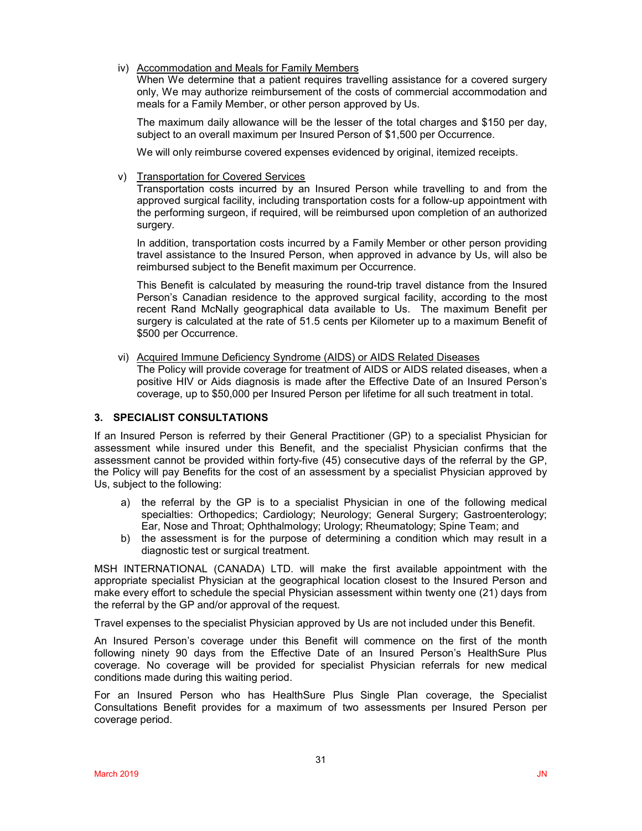iv) Accommodation and Meals for Family Members

When We determine that a patient requires travelling assistance for a covered surgery only, We may authorize reimbursement of the costs of commercial accommodation and meals for a Family Member, or other person approved by Us.

The maximum daily allowance will be the lesser of the total charges and \$150 per day, subject to an overall maximum per Insured Person of \$1,500 per Occurrence.

We will only reimburse covered expenses evidenced by original, itemized receipts.

v) Transportation for Covered Services

Transportation costs incurred by an Insured Person while travelling to and from the approved surgical facility, including transportation costs for a follow-up appointment with the performing surgeon, if required, will be reimbursed upon completion of an authorized surgery.

In addition, transportation costs incurred by a Family Member or other person providing travel assistance to the Insured Person, when approved in advance by Us, will also be reimbursed subject to the Benefit maximum per Occurrence.

This Benefit is calculated by measuring the round-trip travel distance from the Insured Person's Canadian residence to the approved surgical facility, according to the most recent Rand McNally geographical data available to Us. The maximum Benefit per surgery is calculated at the rate of 51.5 cents per Kilometer up to a maximum Benefit of \$500 per Occurrence.

vi) Acquired Immune Deficiency Syndrome (AIDS) or AIDS Related Diseases

The Policy will provide coverage for treatment of AIDS or AIDS related diseases, when a positive HIV or Aids diagnosis is made after the Effective Date of an Insured Person's coverage, up to \$50,000 per Insured Person per lifetime for all such treatment in total.

## **3. SPECIALIST CONSULTATIONS**

If an Insured Person is referred by their General Practitioner (GP) to a specialist Physician for assessment while insured under this Benefit, and the specialist Physician confirms that the assessment cannot be provided within forty-five (45) consecutive days of the referral by the GP, the Policy will pay Benefits for the cost of an assessment by a specialist Physician approved by Us, subject to the following:

- a) the referral by the GP is to a specialist Physician in one of the following medical specialties: Orthopedics; Cardiology; Neurology; General Surgery; Gastroenterology; Ear, Nose and Throat; Ophthalmology; Urology; Rheumatology; Spine Team; and
- b) the assessment is for the purpose of determining a condition which may result in a diagnostic test or surgical treatment.

MSH INTERNATIONAL (CANADA) LTD. will make the first available appointment with the appropriate specialist Physician at the geographical location closest to the Insured Person and make every effort to schedule the special Physician assessment within twenty one (21) days from the referral by the GP and/or approval of the request.

Travel expenses to the specialist Physician approved by Us are not included under this Benefit.

An Insured Person's coverage under this Benefit will commence on the first of the month following ninety 90 days from the Effective Date of an Insured Person's HealthSure Plus coverage. No coverage will be provided for specialist Physician referrals for new medical conditions made during this waiting period.

For an Insured Person who has HealthSure Plus Single Plan coverage, the Specialist Consultations Benefit provides for a maximum of two assessments per Insured Person per coverage period.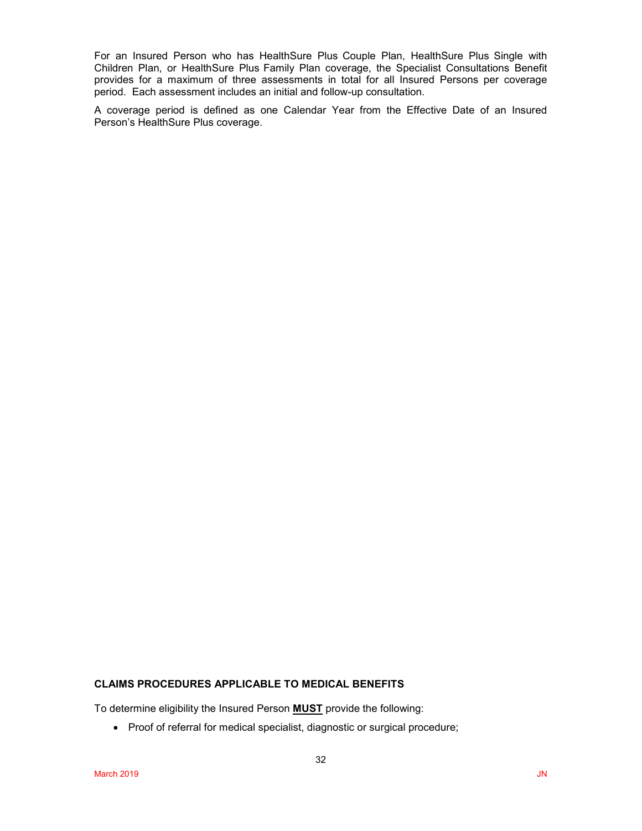For an Insured Person who has HealthSure Plus Couple Plan, HealthSure Plus Single with Children Plan, or HealthSure Plus Family Plan coverage, the Specialist Consultations Benefit provides for a maximum of three assessments in total for all Insured Persons per coverage period. Each assessment includes an initial and follow-up consultation.

A coverage period is defined as one Calendar Year from the Effective Date of an Insured Person's HealthSure Plus coverage.

### **CLAIMS PROCEDURES APPLICABLE TO MEDICAL BENEFITS**

To determine eligibility the Insured Person **MUST** provide the following:

• Proof of referral for medical specialist, diagnostic or surgical procedure;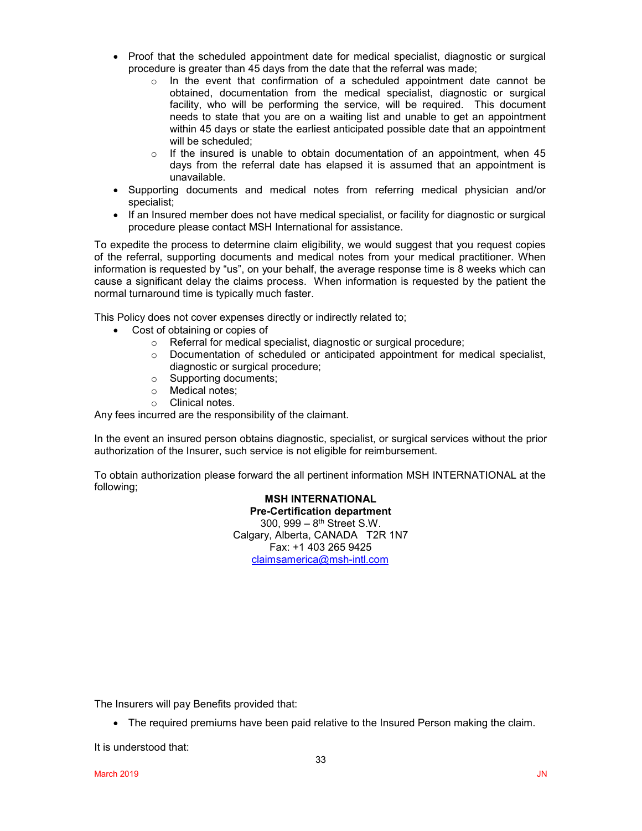- Proof that the scheduled appointment date for medical specialist, diagnostic or surgical procedure is greater than 45 days from the date that the referral was made;
	- $\circ$  In the event that confirmation of a scheduled appointment date cannot be obtained, documentation from the medical specialist, diagnostic or surgical facility, who will be performing the service, will be required. This document needs to state that you are on a waiting list and unable to get an appointment within 45 days or state the earliest anticipated possible date that an appointment will be scheduled;
	- $\circ$  If the insured is unable to obtain documentation of an appointment, when 45 days from the referral date has elapsed it is assumed that an appointment is unavailable.
- Supporting documents and medical notes from referring medical physician and/or specialist;
- If an Insured member does not have medical specialist, or facility for diagnostic or surgical procedure please contact MSH International for assistance.

To expedite the process to determine claim eligibility, we would suggest that you request copies of the referral, supporting documents and medical notes from your medical practitioner. When information is requested by "us", on your behalf, the average response time is 8 weeks which can cause a significant delay the claims process. When information is requested by the patient the normal turnaround time is typically much faster.

This Policy does not cover expenses directly or indirectly related to;

- Cost of obtaining or copies of
	- o Referral for medical specialist, diagnostic or surgical procedure;
	- o Documentation of scheduled or anticipated appointment for medical specialist, diagnostic or surgical procedure;
	- o Supporting documents;
	- $\circ$  Medical notes;<br> $\circ$  Clinical notes
	- Clinical notes

Any fees incurred are the responsibility of the claimant.

In the event an insured person obtains diagnostic, specialist, or surgical services without the prior authorization of the Insurer, such service is not eligible for reimbursement.

To obtain authorization please forward the all pertinent information MSH INTERNATIONAL at the following;

> **MSH INTERNATIONAL Pre-Certification department** 300, 999 – 8th Street S.W. Calgary, Alberta, CANADA T2R 1N7 Fax: +1 403 265 9425 [claimsamerica@msh-intl.com](mailto:claimsamerica@msh-intl.com)

The Insurers will pay Benefits provided that:

• The required premiums have been paid relative to the Insured Person making the claim.

It is understood that: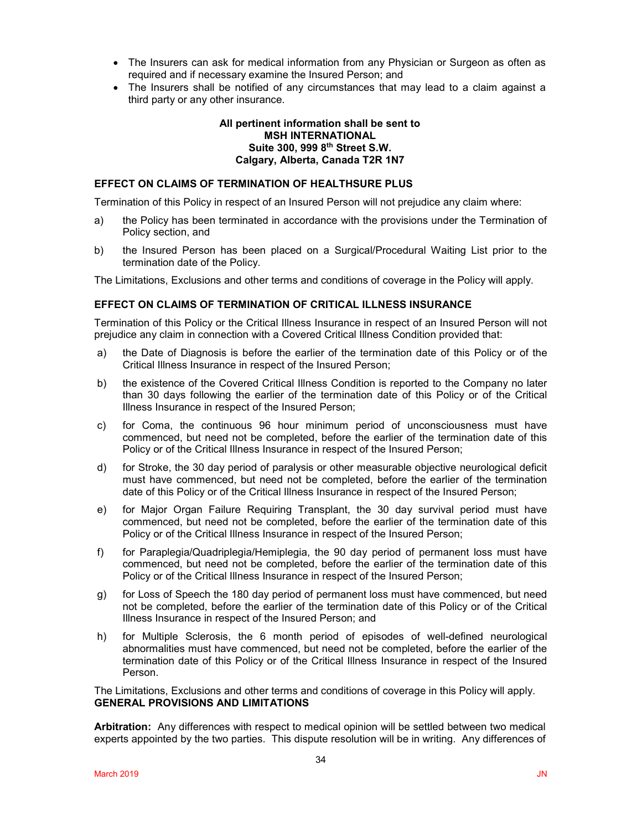- The Insurers can ask for medical information from any Physician or Surgeon as often as required and if necessary examine the Insured Person; and
- The Insurers shall be notified of any circumstances that may lead to a claim against a third party or any other insurance.

### **All pertinent information shall be sent to MSH INTERNATIONAL Suite 300, 999 8th Street S.W. Calgary, Alberta, Canada T2R 1N7**

### **EFFECT ON CLAIMS OF TERMINATION OF HEALTHSURE PLUS**

Termination of this Policy in respect of an Insured Person will not prejudice any claim where:

- a) the Policy has been terminated in accordance with the provisions under the Termination of Policy section, and
- b) the Insured Person has been placed on a Surgical/Procedural Waiting List prior to the termination date of the Policy.

The Limitations, Exclusions and other terms and conditions of coverage in the Policy will apply.

### **EFFECT ON CLAIMS OF TERMINATION OF CRITICAL ILLNESS INSURANCE**

Termination of this Policy or the Critical Illness Insurance in respect of an Insured Person will not prejudice any claim in connection with a Covered Critical Illness Condition provided that:

- a) the Date of Diagnosis is before the earlier of the termination date of this Policy or of the Critical Illness Insurance in respect of the Insured Person;
- b) the existence of the Covered Critical Illness Condition is reported to the Company no later than 30 days following the earlier of the termination date of this Policy or of the Critical Illness Insurance in respect of the Insured Person;
- c) for Coma, the continuous 96 hour minimum period of unconsciousness must have commenced, but need not be completed, before the earlier of the termination date of this Policy or of the Critical Illness Insurance in respect of the Insured Person;
- d) for Stroke, the 30 day period of paralysis or other measurable objective neurological deficit must have commenced, but need not be completed, before the earlier of the termination date of this Policy or of the Critical Illness Insurance in respect of the Insured Person;
- e) for Major Organ Failure Requiring Transplant, the 30 day survival period must have commenced, but need not be completed, before the earlier of the termination date of this Policy or of the Critical Illness Insurance in respect of the Insured Person;
- f) for Paraplegia/Quadriplegia/Hemiplegia, the 90 day period of permanent loss must have commenced, but need not be completed, before the earlier of the termination date of this Policy or of the Critical Illness Insurance in respect of the Insured Person;
- g) for Loss of Speech the 180 day period of permanent loss must have commenced, but need not be completed, before the earlier of the termination date of this Policy or of the Critical Illness Insurance in respect of the Insured Person; and
- h) for Multiple Sclerosis, the 6 month period of episodes of well-defined neurological abnormalities must have commenced, but need not be completed, before the earlier of the termination date of this Policy or of the Critical Illness Insurance in respect of the Insured Person.

The Limitations, Exclusions and other terms and conditions of coverage in this Policy will apply. **GENERAL PROVISIONS AND LIMITATIONS**

**Arbitration:** Any differences with respect to medical opinion will be settled between two medical experts appointed by the two parties. This dispute resolution will be in writing. Any differences of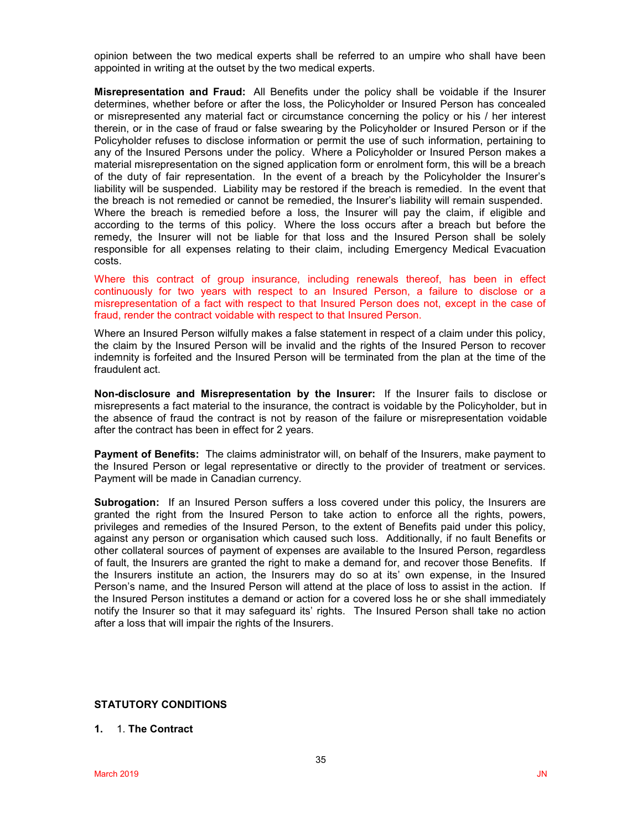opinion between the two medical experts shall be referred to an umpire who shall have been appointed in writing at the outset by the two medical experts.

**Misrepresentation and Fraud:** All Benefits under the policy shall be voidable if the Insurer determines, whether before or after the loss, the Policyholder or Insured Person has concealed or misrepresented any material fact or circumstance concerning the policy or his / her interest therein, or in the case of fraud or false swearing by the Policyholder or Insured Person or if the Policyholder refuses to disclose information or permit the use of such information, pertaining to any of the Insured Persons under the policy. Where a Policyholder or Insured Person makes a material misrepresentation on the signed application form or enrolment form, this will be a breach of the duty of fair representation. In the event of a breach by the Policyholder the Insurer's liability will be suspended. Liability may be restored if the breach is remedied. In the event that the breach is not remedied or cannot be remedied, the Insurer's liability will remain suspended. Where the breach is remedied before a loss, the Insurer will pay the claim, if eligible and according to the terms of this policy. Where the loss occurs after a breach but before the remedy, the Insurer will not be liable for that loss and the Insured Person shall be solely responsible for all expenses relating to their claim, including Emergency Medical Evacuation costs.

Where this contract of group insurance, including renewals thereof, has been in effect continuously for two years with respect to an Insured Person, a failure to disclose or a misrepresentation of a fact with respect to that Insured Person does not, except in the case of fraud, render the contract voidable with respect to that Insured Person.

Where an Insured Person wilfully makes a false statement in respect of a claim under this policy, the claim by the Insured Person will be invalid and the rights of the Insured Person to recover indemnity is forfeited and the Insured Person will be terminated from the plan at the time of the fraudulent act.

**Non-disclosure and Misrepresentation by the Insurer:** If the Insurer fails to disclose or misrepresents a fact material to the insurance, the contract is voidable by the Policyholder, but in the absence of fraud the contract is not by reason of the failure or misrepresentation voidable after the contract has been in effect for 2 years.

**Payment of Benefits:** The claims administrator will, on behalf of the Insurers, make payment to the Insured Person or legal representative or directly to the provider of treatment or services. Payment will be made in Canadian currency.

**Subrogation:** If an Insured Person suffers a loss covered under this policy, the Insurers are granted the right from the Insured Person to take action to enforce all the rights, powers, privileges and remedies of the Insured Person, to the extent of Benefits paid under this policy, against any person or organisation which caused such loss. Additionally, if no fault Benefits or other collateral sources of payment of expenses are available to the Insured Person, regardless of fault, the Insurers are granted the right to make a demand for, and recover those Benefits. If the Insurers institute an action, the Insurers may do so at its' own expense, in the Insured Person's name, and the Insured Person will attend at the place of loss to assist in the action. If the Insured Person institutes a demand or action for a covered loss he or she shall immediately notify the Insurer so that it may safeguard its' rights. The Insured Person shall take no action after a loss that will impair the rights of the Insurers.

## **STATUTORY CONDITIONS**

### **1.** 1. **The Contract**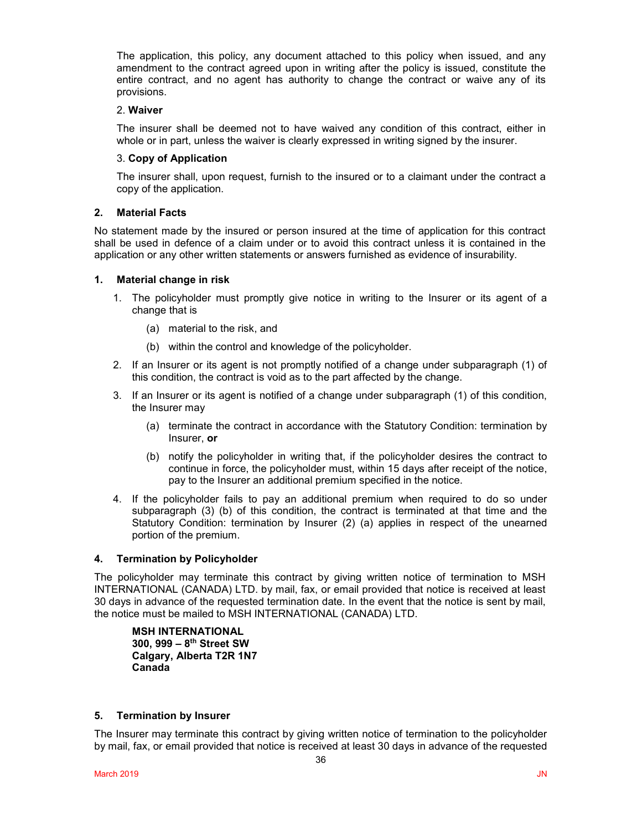The application, this policy, any document attached to this policy when issued, and any amendment to the contract agreed upon in writing after the policy is issued, constitute the entire contract, and no agent has authority to change the contract or waive any of its provisions.

## 2. **Waiver**

The insurer shall be deemed not to have waived any condition of this contract, either in whole or in part, unless the waiver is clearly expressed in writing signed by the insurer.

## 3. **Copy of Application**

The insurer shall, upon request, furnish to the insured or to a claimant under the contract a copy of the application.

## **2. Material Facts**

No statement made by the insured or person insured at the time of application for this contract shall be used in defence of a claim under or to avoid this contract unless it is contained in the application or any other written statements or answers furnished as evidence of insurability.

## **1. Material change in risk**

- 1. The policyholder must promptly give notice in writing to the Insurer or its agent of a change that is
	- (a) material to the risk, and
	- (b) within the control and knowledge of the policyholder.
- 2. If an Insurer or its agent is not promptly notified of a change under subparagraph (1) of this condition, the contract is void as to the part affected by the change.
- 3. If an Insurer or its agent is notified of a change under subparagraph (1) of this condition, the Insurer may
	- (a) terminate the contract in accordance with the Statutory Condition: termination by Insurer, **or**
	- (b) notify the policyholder in writing that, if the policyholder desires the contract to continue in force, the policyholder must, within 15 days after receipt of the notice, pay to the Insurer an additional premium specified in the notice.
- 4. If the policyholder fails to pay an additional premium when required to do so under subparagraph (3) (b) of this condition, the contract is terminated at that time and the Statutory Condition: termination by Insurer (2) (a) applies in respect of the unearned portion of the premium.

## **4. Termination by Policyholder**

The policyholder may terminate this contract by giving written notice of termination to MSH INTERNATIONAL (CANADA) LTD. by mail, fax, or email provided that notice is received at least 30 days in advance of the requested termination date. In the event that the notice is sent by mail, the notice must be mailed to MSH INTERNATIONAL (CANADA) LTD.

**MSH INTERNATIONAL 300, 999 – 8th Street SW Calgary, Alberta T2R 1N7 Canada**

### **5. Termination by Insurer**

The Insurer may terminate this contract by giving written notice of termination to the policyholder by mail, fax, or email provided that notice is received at least 30 days in advance of the requested